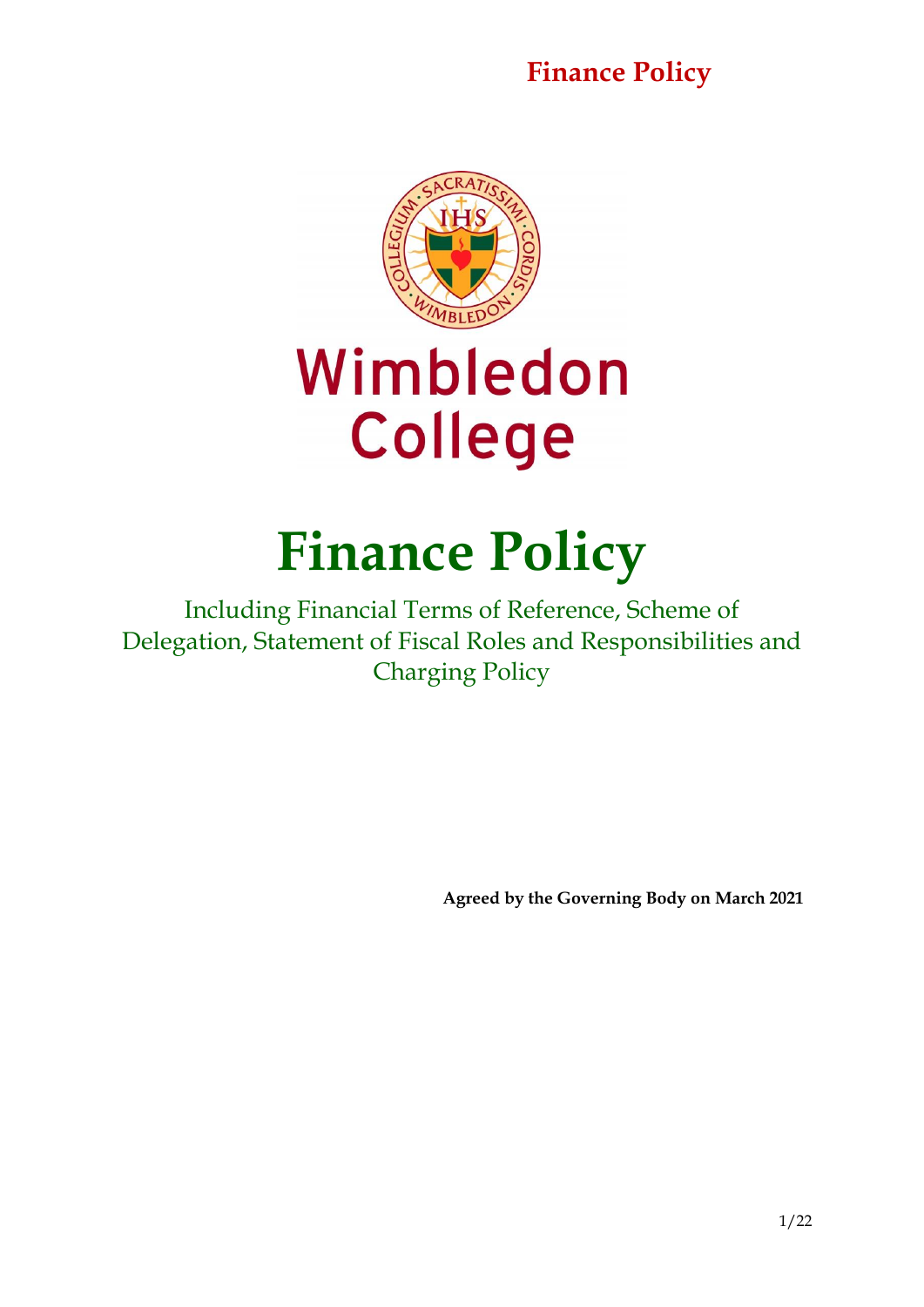

# Wimbledon **College**

## **Finance Policy**

Including Financial Terms of Reference, Scheme of Delegation, Statement of Fiscal Roles and Responsibilities and Charging Policy

**Agreed by the Governing Body on March 2021**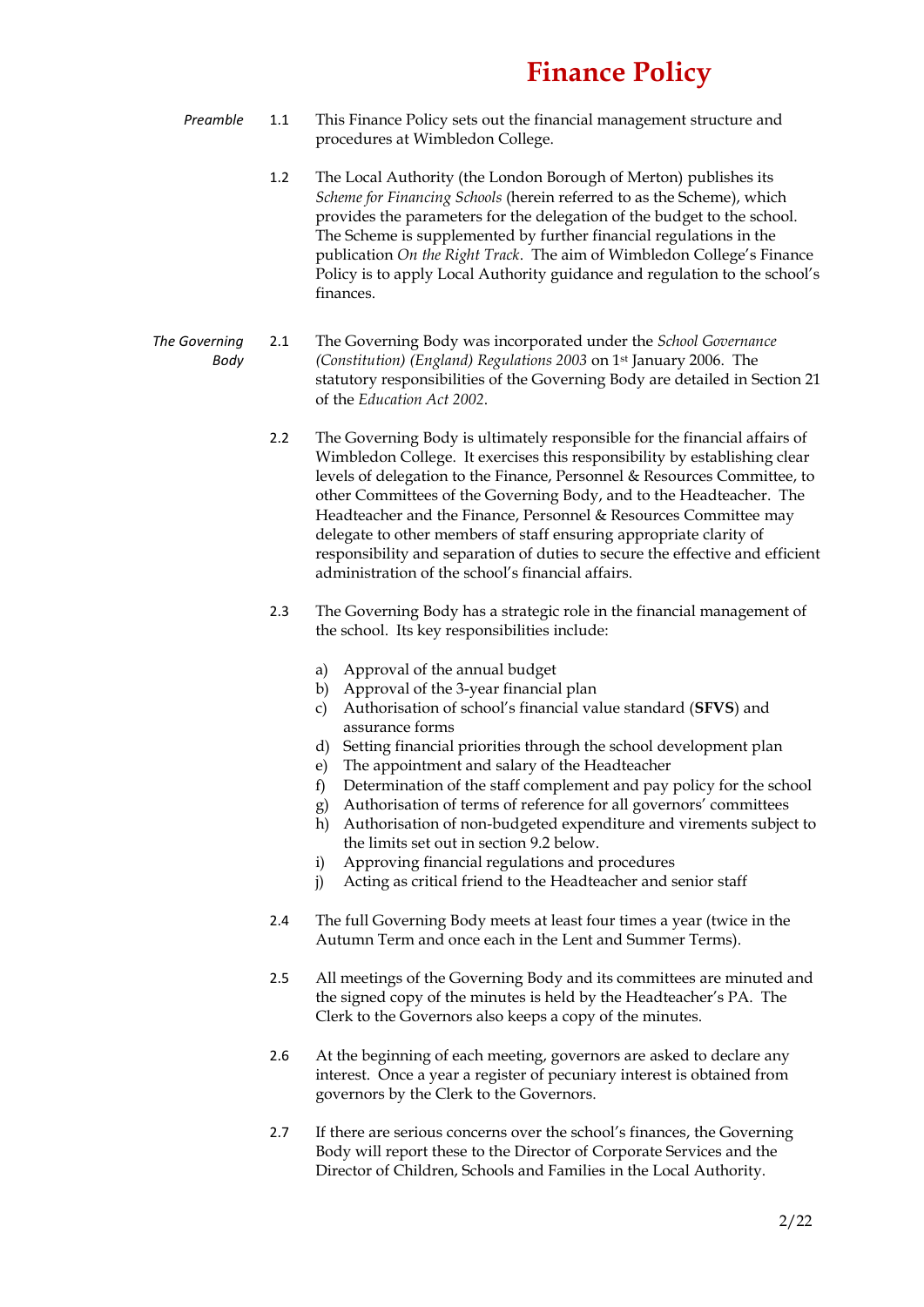- *Preamble* 1.1 This Finance Policy sets out the financial management structure and procedures at Wimbledon College.
	- 1.2 The Local Authority (the London Borough of Merton) publishes its *Scheme for Financing Schools* (herein referred to as the Scheme), which provides the parameters for the delegation of the budget to the school. The Scheme is supplemented by further financial regulations in the publication *On the Right Track*. The aim of Wimbledon College's Finance Policy is to apply Local Authority guidance and regulation to the school's finances.
- *The Governing Body* 2.1 The Governing Body was incorporated under the *School Governance (Constitution) (England) Regulations 2003* on 1st January 2006. The statutory responsibilities of the Governing Body are detailed in Section 21 of the *Education Act 2002*.
	- 2.2 The Governing Body is ultimately responsible for the financial affairs of Wimbledon College. It exercises this responsibility by establishing clear levels of delegation to the Finance, Personnel & Resources Committee, to other Committees of the Governing Body, and to the Headteacher. The Headteacher and the Finance, Personnel & Resources Committee may delegate to other members of staff ensuring appropriate clarity of responsibility and separation of duties to secure the effective and efficient administration of the school's financial affairs.
	- 2.3 The Governing Body has a strategic role in the financial management of the school. Its key responsibilities include:
		- a) Approval of the annual budget
		- b) Approval of the 3-year financial plan
		- c) Authorisation of school's financial value standard (**SFVS**) and assurance forms
		- d) Setting financial priorities through the school development plan
		- e) The appointment and salary of the Headteacher
		- f) Determination of the staff complement and pay policy for the school
		- g) Authorisation of terms of reference for all governors' committees
		- h) Authorisation of non-budgeted expenditure and virements subject to the limits set out in section 9.2 below.
		- i) Approving financial regulations and procedures
		- j) Acting as critical friend to the Headteacher and senior staff
	- 2.4 The full Governing Body meets at least four times a year (twice in the Autumn Term and once each in the Lent and Summer Terms).
	- 2.5 All meetings of the Governing Body and its committees are minuted and the signed copy of the minutes is held by the Headteacher's PA. The Clerk to the Governors also keeps a copy of the minutes.
	- 2.6 At the beginning of each meeting, governors are asked to declare any interest. Once a year a register of pecuniary interest is obtained from governors by the Clerk to the Governors.
	- 2.7 If there are serious concerns over the school's finances, the Governing Body will report these to the Director of Corporate Services and the Director of Children, Schools and Families in the Local Authority.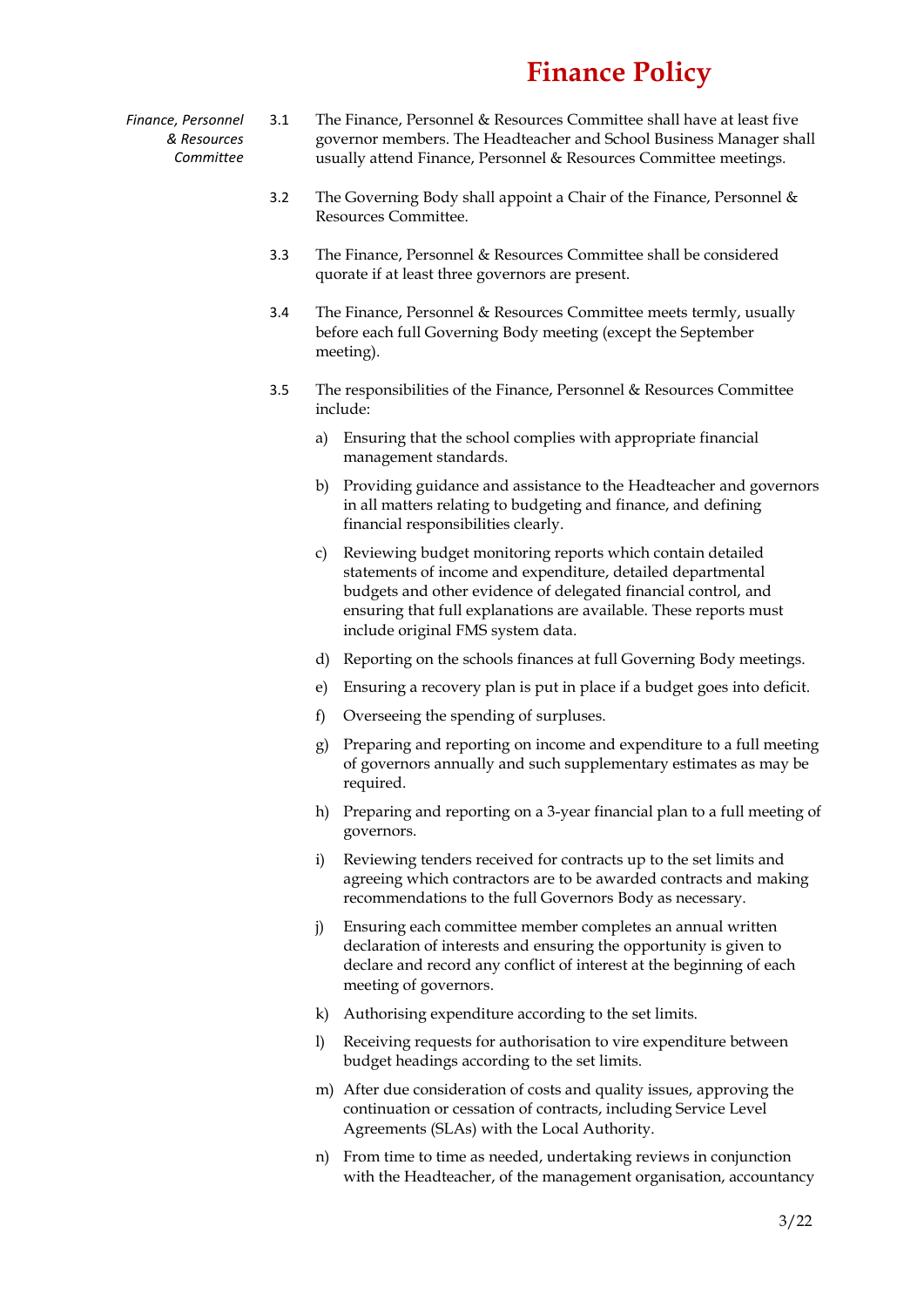- *Finance, Personnel & Resources Committee* 3.1 The Finance, Personnel & Resources Committee shall have at least five governor members. The Headteacher and School Business Manager shall usually attend Finance, Personnel & Resources Committee meetings.
	- 3.2 The Governing Body shall appoint a Chair of the Finance, Personnel & Resources Committee.
	- 3.3 The Finance, Personnel & Resources Committee shall be considered quorate if at least three governors are present.
	- 3.4 The Finance, Personnel & Resources Committee meets termly, usually before each full Governing Body meeting (except the September meeting).
	- 3.5 The responsibilities of the Finance, Personnel & Resources Committee include:
		- a) Ensuring that the school complies with appropriate financial management standards.
		- b) Providing guidance and assistance to the Headteacher and governors in all matters relating to budgeting and finance, and defining financial responsibilities clearly.
		- c) Reviewing budget monitoring reports which contain detailed statements of income and expenditure, detailed departmental budgets and other evidence of delegated financial control, and ensuring that full explanations are available. These reports must include original FMS system data.
		- d) Reporting on the schools finances at full Governing Body meetings.
		- e) Ensuring a recovery plan is put in place if a budget goes into deficit.
		- f) Overseeing the spending of surpluses.
		- g) Preparing and reporting on income and expenditure to a full meeting of governors annually and such supplementary estimates as may be required.
		- h) Preparing and reporting on a 3-year financial plan to a full meeting of governors.
		- i) Reviewing tenders received for contracts up to the set limits and agreeing which contractors are to be awarded contracts and making recommendations to the full Governors Body as necessary.
		- j) Ensuring each committee member completes an annual written declaration of interests and ensuring the opportunity is given to declare and record any conflict of interest at the beginning of each meeting of governors.
		- k) Authorising expenditure according to the set limits.
		- l) Receiving requests for authorisation to vire expenditure between budget headings according to the set limits.
		- m) After due consideration of costs and quality issues, approving the continuation or cessation of contracts, including Service Level Agreements (SLAs) with the Local Authority.
		- n) From time to time as needed, undertaking reviews in conjunction with the Headteacher, of the management organisation, accountancy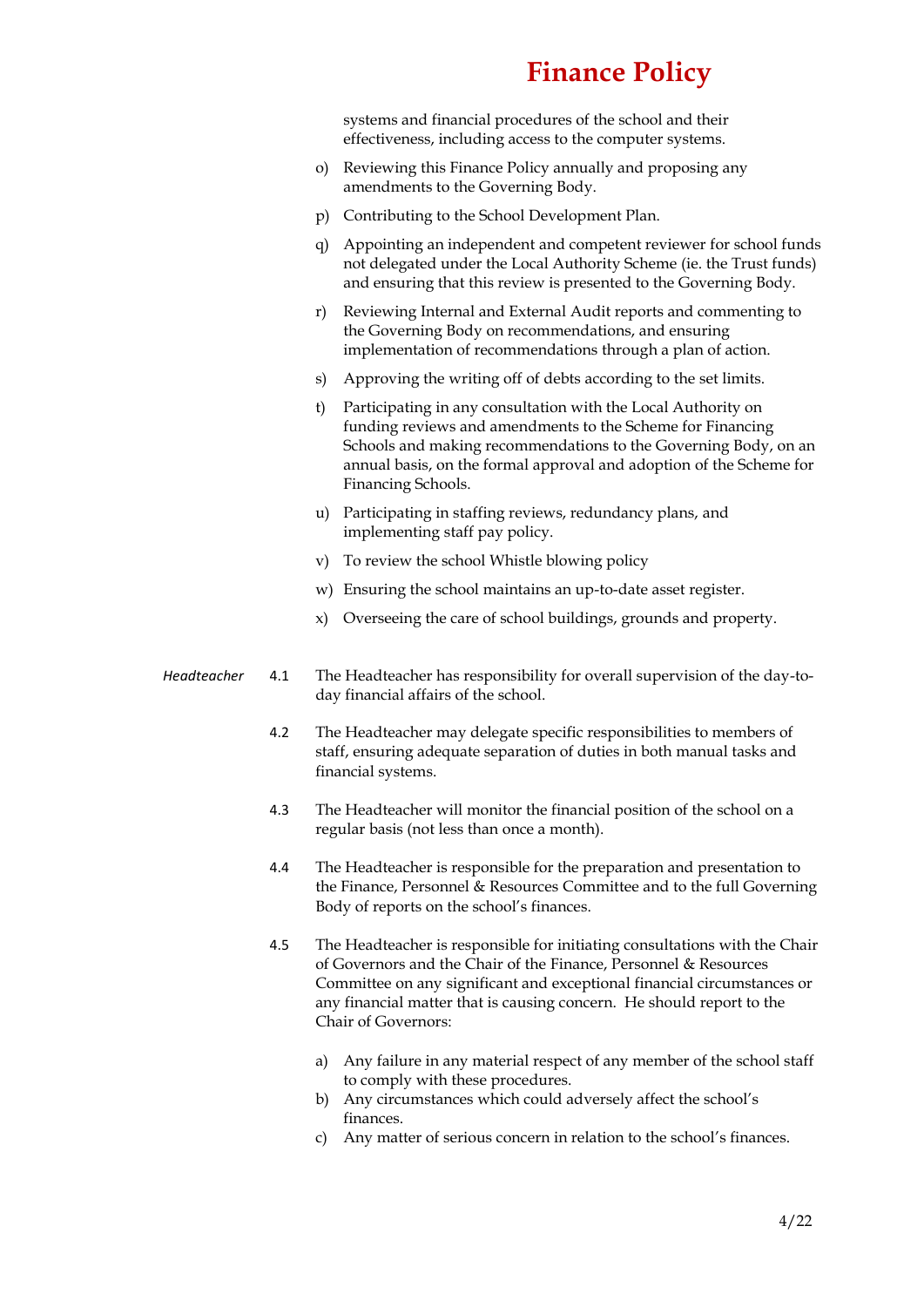systems and financial procedures of the school and their effectiveness, including access to the computer systems.

- o) Reviewing this Finance Policy annually and proposing any amendments to the Governing Body.
- p) Contributing to the School Development Plan.
- q) Appointing an independent and competent reviewer for school funds not delegated under the Local Authority Scheme (ie. the Trust funds) and ensuring that this review is presented to the Governing Body.
- r) Reviewing Internal and External Audit reports and commenting to the Governing Body on recommendations, and ensuring implementation of recommendations through a plan of action.
- s) Approving the writing off of debts according to the set limits.
- t) Participating in any consultation with the Local Authority on funding reviews and amendments to the Scheme for Financing Schools and making recommendations to the Governing Body, on an annual basis, on the formal approval and adoption of the Scheme for Financing Schools.
- u) Participating in staffing reviews, redundancy plans, and implementing staff pay policy.
- v) To review the school Whistle blowing policy
- w) Ensuring the school maintains an up-to-date asset register.
- x) Overseeing the care of school buildings, grounds and property.
- *Headteacher* 4.1 The Headteacher has responsibility for overall supervision of the day-today financial affairs of the school.
	- 4.2 The Headteacher may delegate specific responsibilities to members of staff, ensuring adequate separation of duties in both manual tasks and financial systems.
	- 4.3 The Headteacher will monitor the financial position of the school on a regular basis (not less than once a month).
	- 4.4 The Headteacher is responsible for the preparation and presentation to the Finance, Personnel & Resources Committee and to the full Governing Body of reports on the school's finances.
	- 4.5 The Headteacher is responsible for initiating consultations with the Chair of Governors and the Chair of the Finance, Personnel & Resources Committee on any significant and exceptional financial circumstances or any financial matter that is causing concern. He should report to the Chair of Governors:
		- a) Any failure in any material respect of any member of the school staff to comply with these procedures.
		- b) Any circumstances which could adversely affect the school's finances.
		- c) Any matter of serious concern in relation to the school's finances.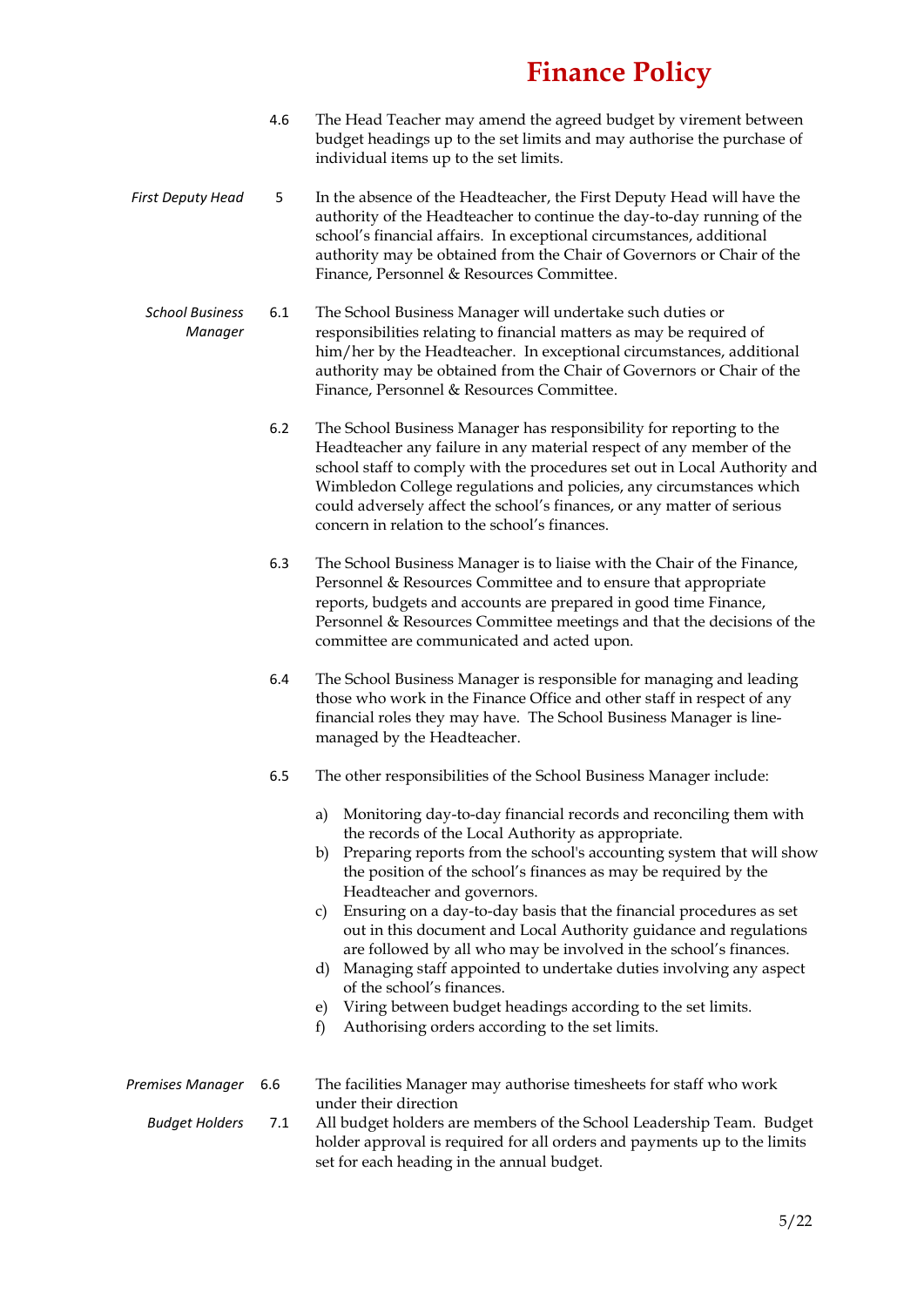- 4.6 The Head Teacher may amend the agreed budget by virement between budget headings up to the set limits and may authorise the purchase of individual items up to the set limits.
- *First Deputy Head* 5 In the absence of the Headteacher, the First Deputy Head will have the authority of the Headteacher to continue the day-to-day running of the school's financial affairs. In exceptional circumstances, additional authority may be obtained from the Chair of Governors or Chair of the Finance, Personnel & Resources Committee.
	- *School Business Manager* 6.1 The School Business Manager will undertake such duties or responsibilities relating to financial matters as may be required of him/her by the Headteacher. In exceptional circumstances, additional authority may be obtained from the Chair of Governors or Chair of the Finance, Personnel & Resources Committee.
		- 6.2 The School Business Manager has responsibility for reporting to the Headteacher any failure in any material respect of any member of the school staff to comply with the procedures set out in Local Authority and Wimbledon College regulations and policies, any circumstances which could adversely affect the school's finances, or any matter of serious concern in relation to the school's finances.
		- 6.3 The School Business Manager is to liaise with the Chair of the Finance, Personnel & Resources Committee and to ensure that appropriate reports, budgets and accounts are prepared in good time Finance, Personnel & Resources Committee meetings and that the decisions of the committee are communicated and acted upon.
		- 6.4 The School Business Manager is responsible for managing and leading those who work in the Finance Office and other staff in respect of any financial roles they may have. The School Business Manager is linemanaged by the Headteacher.
		- 6.5 The other responsibilities of the School Business Manager include:
			- a) Monitoring day-to-day financial records and reconciling them with the records of the Local Authority as appropriate.
			- b) Preparing reports from the school's accounting system that will show the position of the school's finances as may be required by the Headteacher and governors.
			- c) Ensuring on a day-to-day basis that the financial procedures as set out in this document and Local Authority guidance and regulations are followed by all who may be involved in the school's finances.
			- d) Managing staff appointed to undertake duties involving any aspect of the school's finances.
			- e) Viring between budget headings according to the set limits.
			- f) Authorising orders according to the set limits.

| Premises Manager      | 6.6 | The facilities Manager may authorise timesheets for staff who work       |
|-----------------------|-----|--------------------------------------------------------------------------|
|                       |     | under their direction                                                    |
| <b>Budaet Holders</b> | 7.1 | All budget holders are members of the School Leadership Team. Budget     |
|                       |     | holder approval is required for all orders and payments up to the limits |

set for each heading in the annual budget.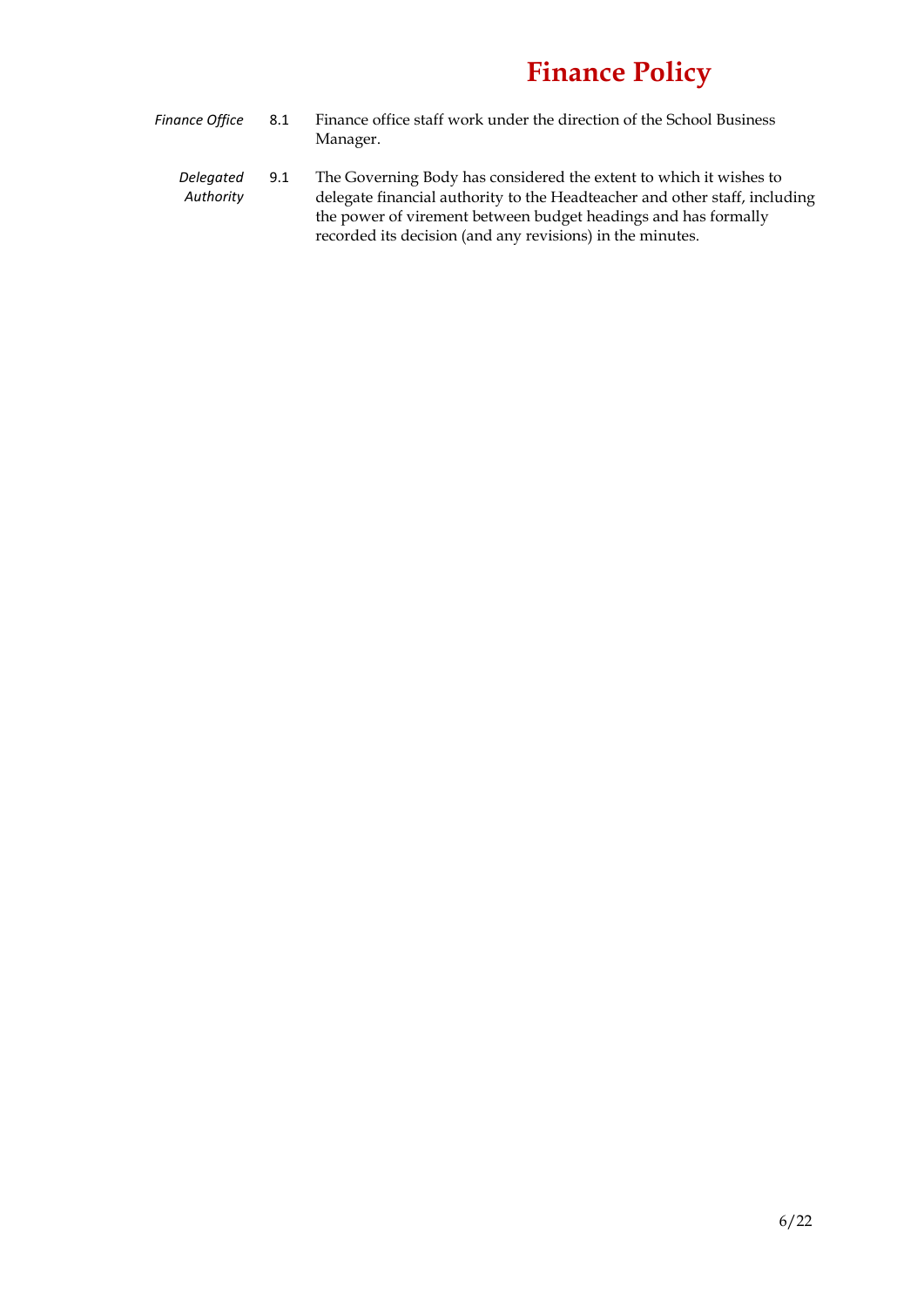- *Finance Office* 8.1 Finance office staff work under the direction of the School Business Manager.
	- *Delegated Authority* 9.1 The Governing Body has considered the extent to which it wishes to delegate financial authority to the Headteacher and other staff, including the power of virement between budget headings and has formally recorded its decision (and any revisions) in the minutes.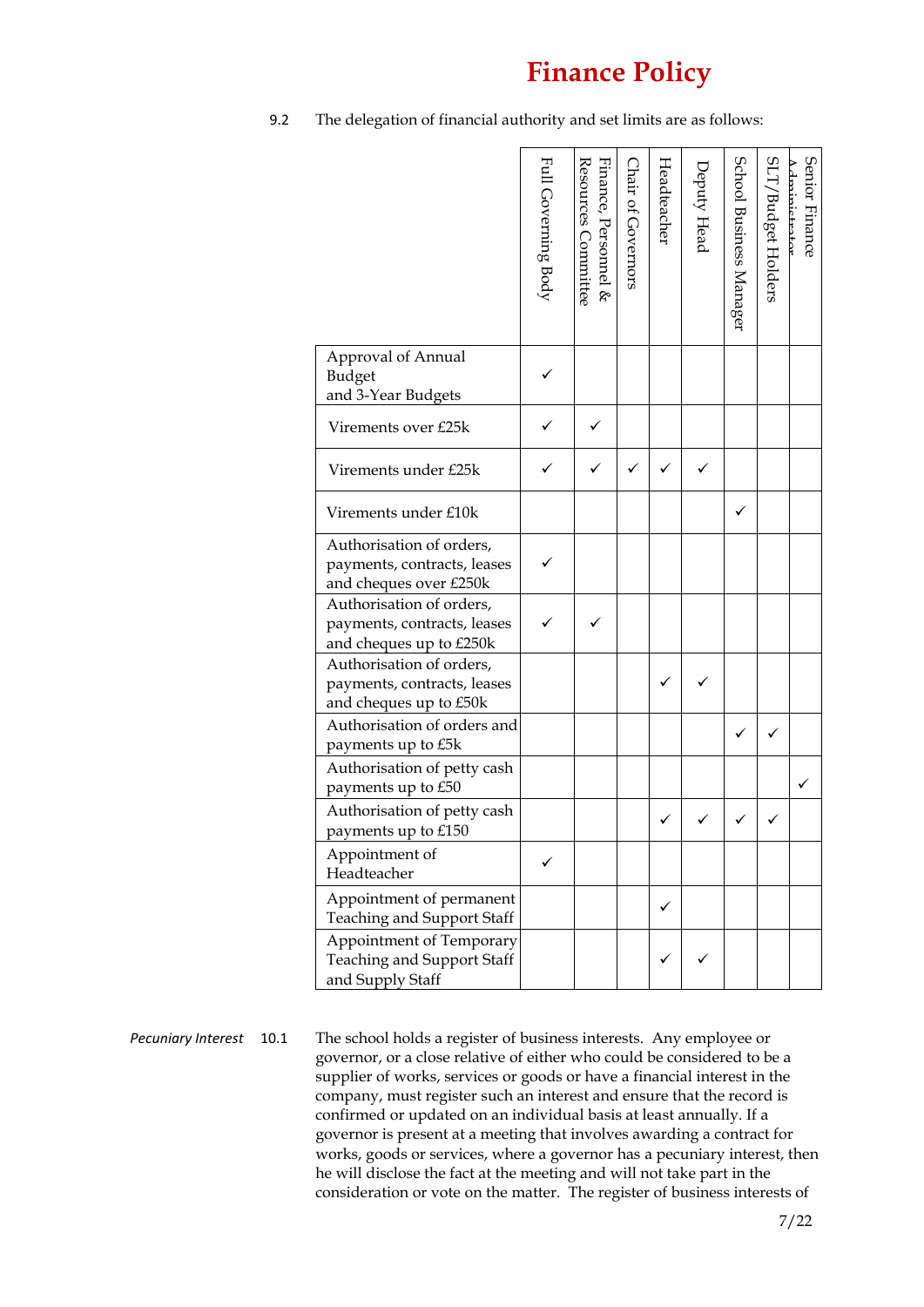9.2 The delegation of financial authority and set limits are as follows:

|                                                                                    | Full Governing Body | Finance, Personnel &<br>Resources Committee | Chair of Governors | Headteacher | Deputy Head | School Business Manager | SLT/<br>/Budget Holders | Senior Finance<br>dminictrator |
|------------------------------------------------------------------------------------|---------------------|---------------------------------------------|--------------------|-------------|-------------|-------------------------|-------------------------|--------------------------------|
| Approval of Annual<br>Budget<br>and 3-Year Budgets                                 |                     |                                             |                    |             |             |                         |                         |                                |
| Virements over £25k                                                                |                     |                                             |                    |             |             |                         |                         |                                |
| Virements under £25k                                                               |                     |                                             |                    |             |             |                         |                         |                                |
| Virements under £10k                                                               |                     |                                             |                    |             |             |                         |                         |                                |
| Authorisation of orders,<br>payments, contracts, leases<br>and cheques over £250k  |                     |                                             |                    |             |             |                         |                         |                                |
| Authorisation of orders,<br>payments, contracts, leases<br>and cheques up to £250k |                     |                                             |                    |             |             |                         |                         |                                |
| Authorisation of orders,<br>payments, contracts, leases<br>and cheques up to £50k  |                     |                                             |                    |             |             |                         |                         |                                |
| Authorisation of orders and<br>payments up to £5k                                  |                     |                                             |                    |             |             |                         |                         |                                |
| Authorisation of petty cash<br>payments up to £50                                  |                     |                                             |                    |             |             |                         |                         |                                |
| Authorisation of petty cash<br>payments up to £150                                 |                     |                                             |                    |             |             |                         |                         |                                |
| Appointment of<br>Headteacher                                                      |                     |                                             |                    |             |             |                         |                         |                                |
| Appointment of permanent<br>Teaching and Support Staff                             |                     |                                             |                    |             |             |                         |                         |                                |
| Appointment of Temporary<br>Teaching and Support Staff<br>and Supply Staff         |                     |                                             |                    |             |             |                         |                         |                                |

*Pecuniary Interest* 10.1 The school holds a register of business interests. Any employee or governor, or a close relative of either who could be considered to be a supplier of works, services or goods or have a financial interest in the company, must register such an interest and ensure that the record is confirmed or updated on an individual basis at least annually. If a governor is present at a meeting that involves awarding a contract for works, goods or services, where a governor has a pecuniary interest, then he will disclose the fact at the meeting and will not take part in the consideration or vote on the matter. The register of business interests of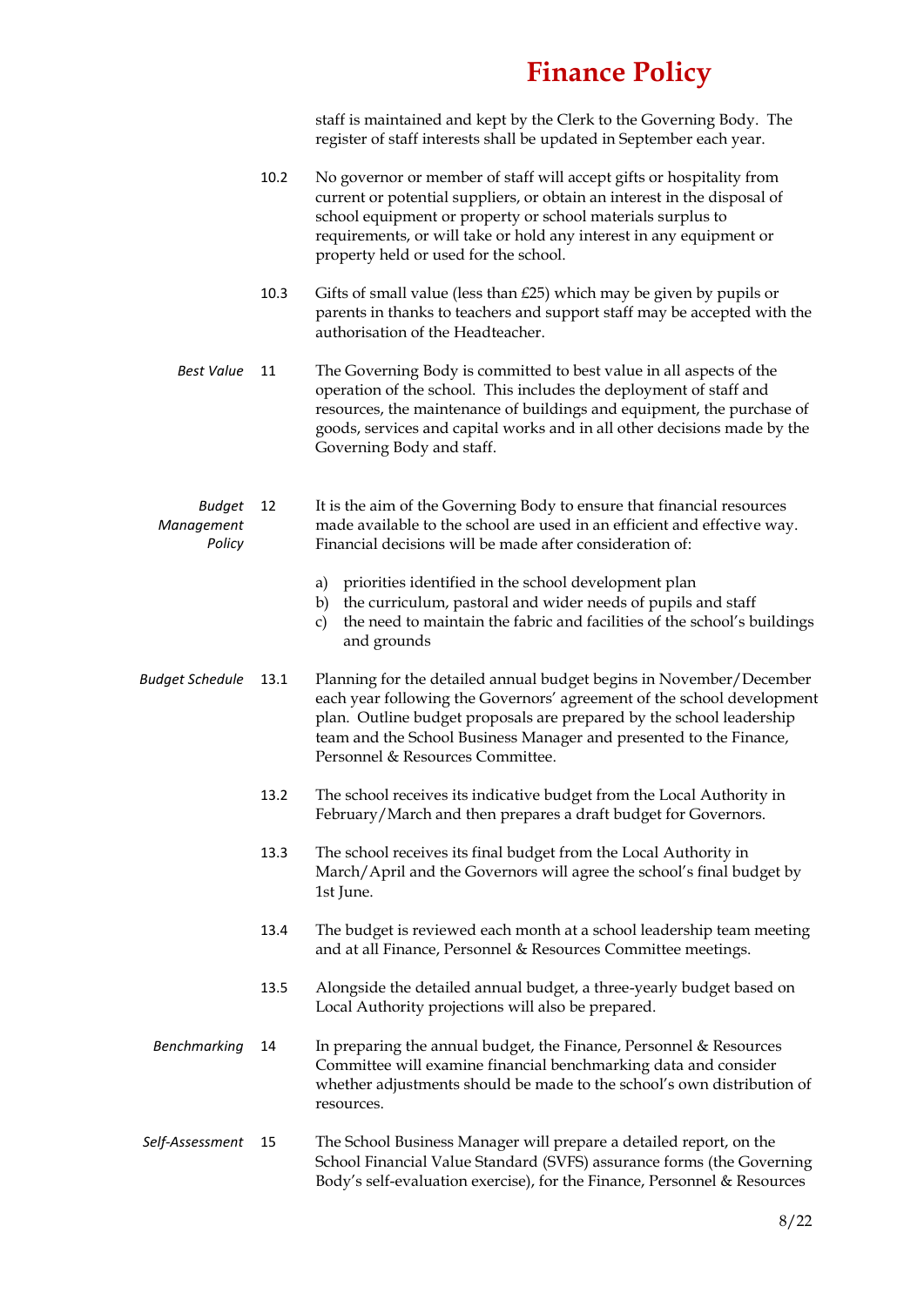staff is maintained and kept by the Clerk to the Governing Body. The register of staff interests shall be updated in September each year.

- 10.2 No governor or member of staff will accept gifts or hospitality from current or potential suppliers, or obtain an interest in the disposal of school equipment or property or school materials surplus to requirements, or will take or hold any interest in any equipment or property held or used for the school.
- 10.3 Gifts of small value (less than  $£25$ ) which may be given by pupils or parents in thanks to teachers and support staff may be accepted with the authorisation of the Headteacher.
- *Best Value* 11 The Governing Body is committed to best value in all aspects of the operation of the school. This includes the deployment of staff and resources, the maintenance of buildings and equipment, the purchase of goods, services and capital works and in all other decisions made by the Governing Body and staff.
- *Budget Management Policy* 12 It is the aim of the Governing Body to ensure that financial resources made available to the school are used in an efficient and effective way. Financial decisions will be made after consideration of:
	- a) priorities identified in the school development plan
	- b) the curriculum, pastoral and wider needs of pupils and staff
	- c) the need to maintain the fabric and facilities of the school's buildings and grounds

*Budget Schedule* 13.1 Planning for the detailed annual budget begins in November/December each year following the Governors' agreement of the school development plan. Outline budget proposals are prepared by the school leadership team and the School Business Manager and presented to the Finance, Personnel & Resources Committee.

- 13.2 The school receives its indicative budget from the Local Authority in February/March and then prepares a draft budget for Governors.
- 13.3 The school receives its final budget from the Local Authority in March/April and the Governors will agree the school's final budget by 1st June.
- 13.4 The budget is reviewed each month at a school leadership team meeting and at all Finance, Personnel & Resources Committee meetings.
- 13.5 Alongside the detailed annual budget, a three-yearly budget based on Local Authority projections will also be prepared.
- *Benchmarking* 14 In preparing the annual budget, the Finance, Personnel & Resources Committee will examine financial benchmarking data and consider whether adjustments should be made to the school's own distribution of resources.
- *Self-Assessment* 15 The School Business Manager will prepare a detailed report, on the School Financial Value Standard (SVFS) assurance forms (the Governing Body's self-evaluation exercise), for the Finance, Personnel & Resources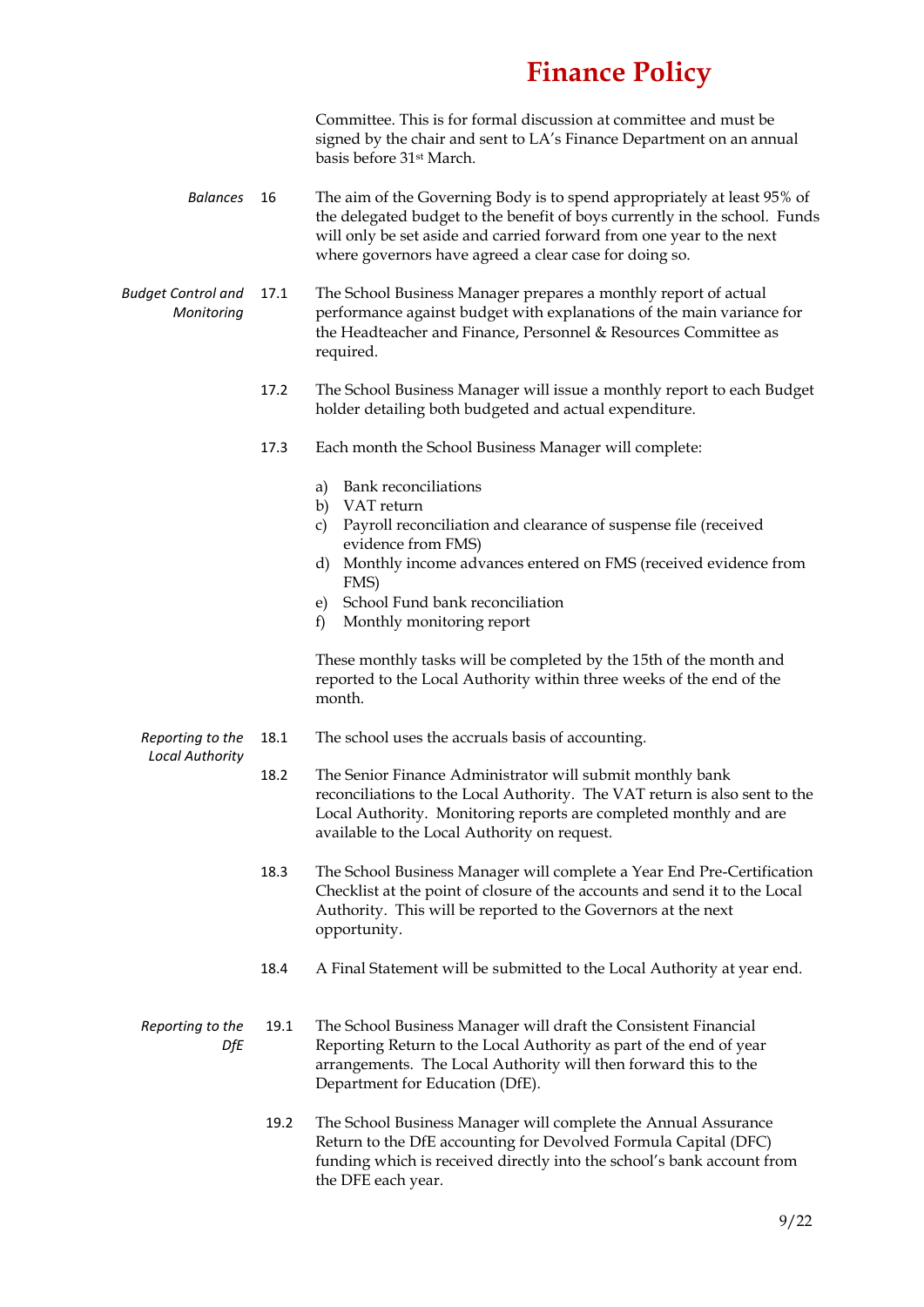Committee. This is for formal discussion at committee and must be signed by the chair and sent to LA's Finance Department on an annual basis before 31st March.

- *Balances* 16 The aim of the Governing Body is to spend appropriately at least 95% of the delegated budget to the benefit of boys currently in the school. Funds will only be set aside and carried forward from one year to the next where governors have agreed a clear case for doing so.
- *Budget Control and Monitoring*  17.1 The School Business Manager prepares a monthly report of actual performance against budget with explanations of the main variance for the Headteacher and Finance, Personnel & Resources Committee as required.
	- 17.2 The School Business Manager will issue a monthly report to each Budget holder detailing both budgeted and actual expenditure.
	- 17.3 Each month the School Business Manager will complete:
		- a) Bank reconciliations
		- b) VAT return
		- c) Payroll reconciliation and clearance of suspense file (received evidence from FMS)
		- d) Monthly income advances entered on FMS (received evidence from FMS)
		- e) School Fund bank reconciliation
		- f) Monthly monitoring report

These monthly tasks will be completed by the 15th of the month and reported to the Local Authority within three weeks of the end of the month.

- *Reporting to the*  18.1 The school uses the accruals basis of accounting.
- *Local Authority*
	- 18.2 The Senior Finance Administrator will submit monthly bank reconciliations to the Local Authority. The VAT return is also sent to the Local Authority. Monitoring reports are completed monthly and are
	- 18.3 The School Business Manager will complete a Year End Pre-Certification Checklist at the point of closure of the accounts and send it to the Local Authority. This will be reported to the Governors at the next opportunity.
	- 18.4 A Final Statement will be submitted to the Local Authority at year end.
- *Reporting to the DfE* 19.1 The School Business Manager will draft the Consistent Financial Reporting Return to the Local Authority as part of the end of year arrangements. The Local Authority will then forward this to the Department for Education (DfE).

available to the Local Authority on request.

19.2 The School Business Manager will complete the Annual Assurance Return to the DfE accounting for Devolved Formula Capital (DFC) funding which is received directly into the school's bank account from the DFE each year.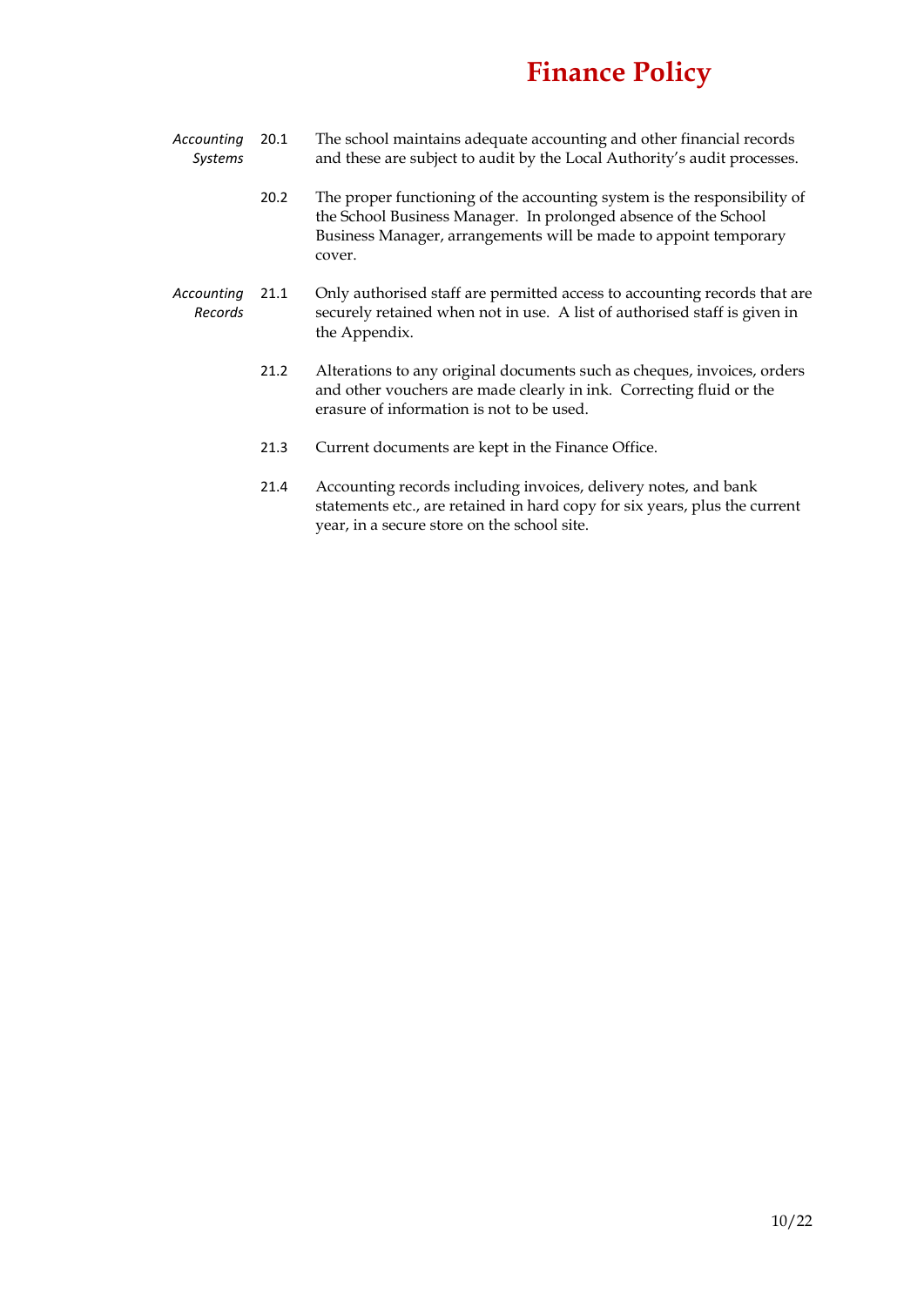- *Accounting Systems* 20.1 The school maintains adequate accounting and other financial records and these are subject to audit by the Local Authority's audit processes.
	- 20.2 The proper functioning of the accounting system is the responsibility of the School Business Manager. In prolonged absence of the School Business Manager, arrangements will be made to appoint temporary cover.
- *Accounting Records* 21.1 Only authorised staff are permitted access to accounting records that are securely retained when not in use. A list of authorised staff is given in the Appendix.
	- 21.2 Alterations to any original documents such as cheques, invoices, orders and other vouchers are made clearly in ink. Correcting fluid or the erasure of information is not to be used.
	- 21.3 Current documents are kept in the Finance Office.
	- 21.4 Accounting records including invoices, delivery notes, and bank statements etc., are retained in hard copy for six years, plus the current year, in a secure store on the school site.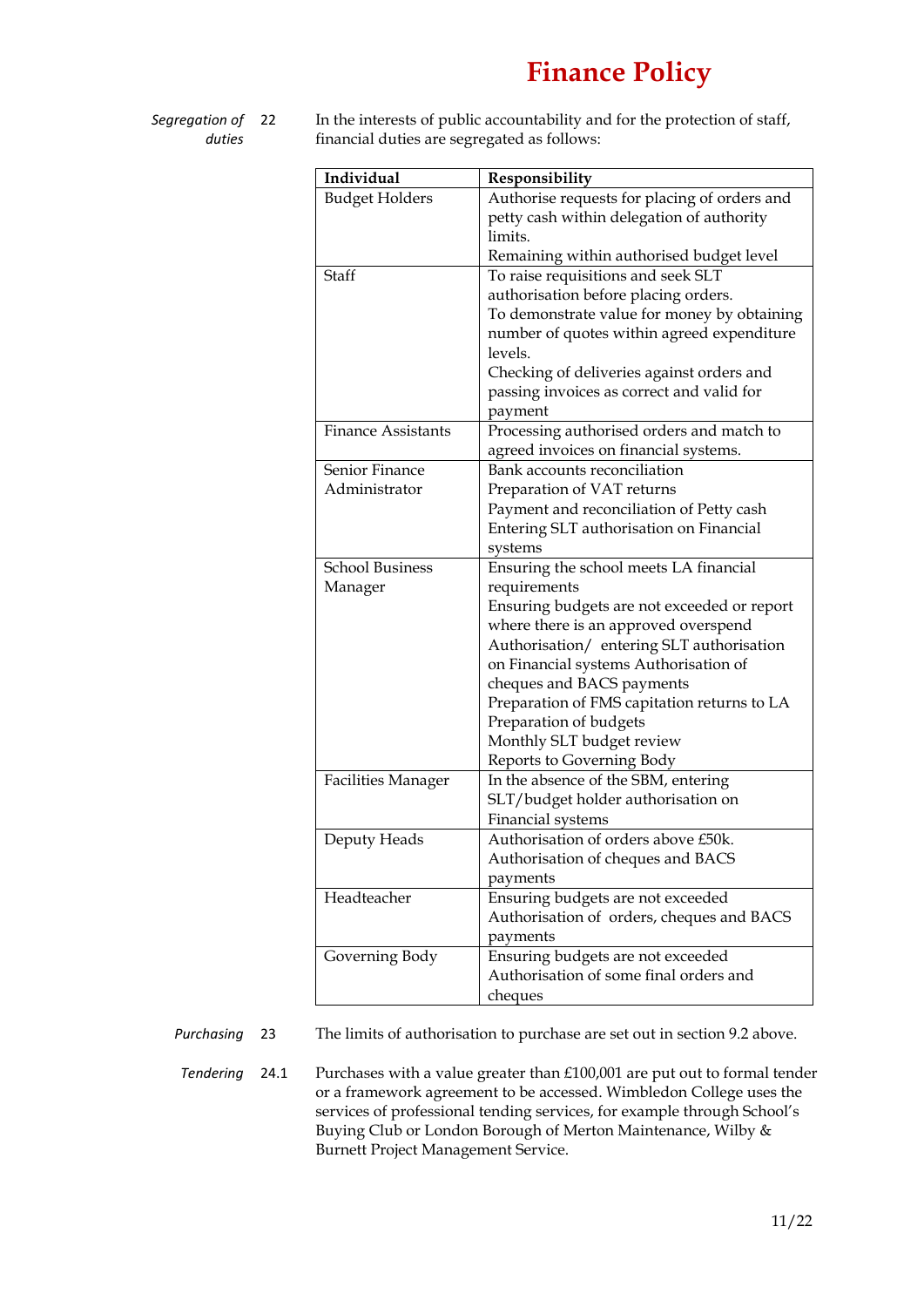- *Segregation of duties*
- In the interests of public accountability and for the protection of staff, financial duties are segregated as follows:

| Individual                | Responsibility                               |  |  |
|---------------------------|----------------------------------------------|--|--|
| <b>Budget Holders</b>     | Authorise requests for placing of orders and |  |  |
|                           | petty cash within delegation of authority    |  |  |
|                           | limits.                                      |  |  |
|                           | Remaining within authorised budget level     |  |  |
| Staff                     | To raise requisitions and seek SLT           |  |  |
|                           | authorisation before placing orders.         |  |  |
|                           | To demonstrate value for money by obtaining  |  |  |
|                           | number of quotes within agreed expenditure   |  |  |
|                           | levels.                                      |  |  |
|                           | Checking of deliveries against orders and    |  |  |
|                           | passing invoices as correct and valid for    |  |  |
|                           | payment                                      |  |  |
| <b>Finance Assistants</b> | Processing authorised orders and match to    |  |  |
|                           | agreed invoices on financial systems.        |  |  |
| Senior Finance            | Bank accounts reconciliation                 |  |  |
| Administrator             | Preparation of VAT returns                   |  |  |
|                           | Payment and reconciliation of Petty cash     |  |  |
|                           | Entering SLT authorisation on Financial      |  |  |
|                           | systems                                      |  |  |
| <b>School Business</b>    | Ensuring the school meets LA financial       |  |  |
| Manager                   | requirements                                 |  |  |
|                           | Ensuring budgets are not exceeded or report  |  |  |
|                           | where there is an approved overspend         |  |  |
|                           | Authorisation/ entering SLT authorisation    |  |  |
|                           | on Financial systems Authorisation of        |  |  |
|                           | cheques and BACS payments                    |  |  |
|                           | Preparation of FMS capitation returns to LA  |  |  |
|                           | Preparation of budgets                       |  |  |
|                           | Monthly SLT budget review                    |  |  |
|                           | Reports to Governing Body                    |  |  |
| <b>Facilities Manager</b> | In the absence of the SBM, entering          |  |  |
|                           | SLT/budget holder authorisation on           |  |  |
|                           | Financial systems                            |  |  |
| Deputy Heads              | Authorisation of orders above £50k.          |  |  |
|                           | Authorisation of cheques and BACS            |  |  |
|                           | payments                                     |  |  |
| Headteacher               | Ensuring budgets are not exceeded            |  |  |
|                           | Authorisation of orders, cheques and BACS    |  |  |
|                           | payments                                     |  |  |
| Governing Body            | Ensuring budgets are not exceeded            |  |  |
|                           | Authorisation of some final orders and       |  |  |
|                           | cheques                                      |  |  |

*Purchasing* 23 The limits of authorisation to purchase are set out in section 9.2 above.

*Tendering* 24.1 Purchases with a value greater than £100,001 are put out to formal tender or a framework agreement to be accessed. Wimbledon College uses the services of professional tending services, for example through School's Buying Club or London Borough of Merton Maintenance, Wilby & Burnett Project Management Service.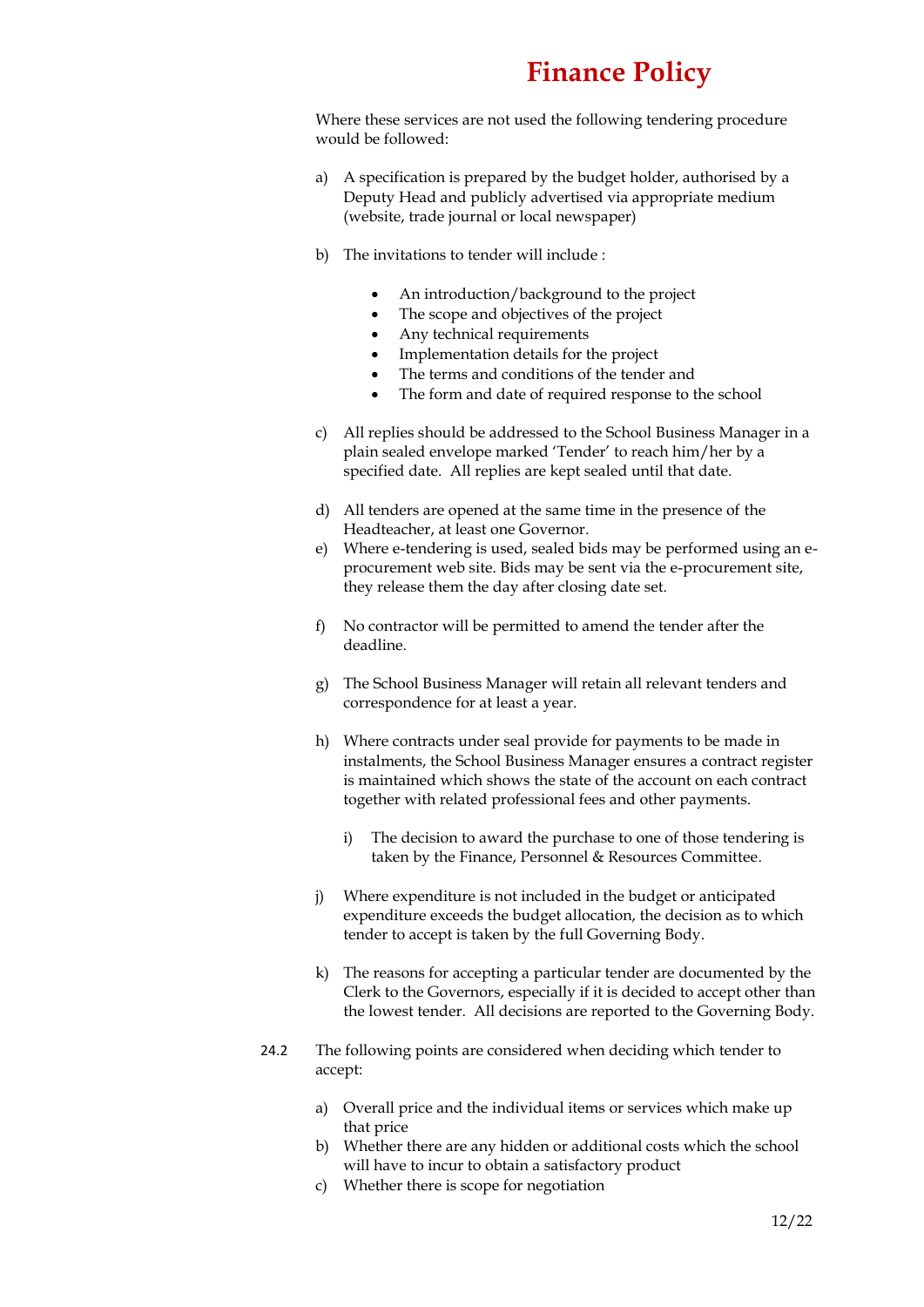Where these services are not used the following tendering procedure would be followed:

- a) A specification is prepared by the budget holder, authorised by a Deputy Head and publicly advertised via appropriate medium (website, trade journal or local newspaper)
- b) The invitations to tender will include :
	- An introduction/background to the project
	- The scope and objectives of the project
	- Any technical requirements
	- Implementation details for the project
	- The terms and conditions of the tender and
	- The form and date of required response to the school
- c) All replies should be addressed to the School Business Manager in a plain sealed envelope marked 'Tender' to reach him/her by a specified date. All replies are kept sealed until that date.
- d) All tenders are opened at the same time in the presence of the Headteacher, at least one Governor.
- e) Where e-tendering is used, sealed bids may be performed using an eprocurement web site. Bids may be sent via the e-procurement site, they release them the day after closing date set.
- f) No contractor will be permitted to amend the tender after the deadline.
- g) The School Business Manager will retain all relevant tenders and correspondence for at least a year.
- h) Where contracts under seal provide for payments to be made in instalments, the School Business Manager ensures a contract register is maintained which shows the state of the account on each contract together with related professional fees and other payments.
	- i) The decision to award the purchase to one of those tendering is taken by the Finance, Personnel & Resources Committee.
- j) Where expenditure is not included in the budget or anticipated expenditure exceeds the budget allocation, the decision as to which tender to accept is taken by the full Governing Body.
- k) The reasons for accepting a particular tender are documented by the Clerk to the Governors, especially if it is decided to accept other than the lowest tender. All decisions are reported to the Governing Body.
- 24.2 The following points are considered when deciding which tender to accept:
	- a) Overall price and the individual items or services which make up that price
	- b) Whether there are any hidden or additional costs which the school will have to incur to obtain a satisfactory product
	- c) Whether there is scope for negotiation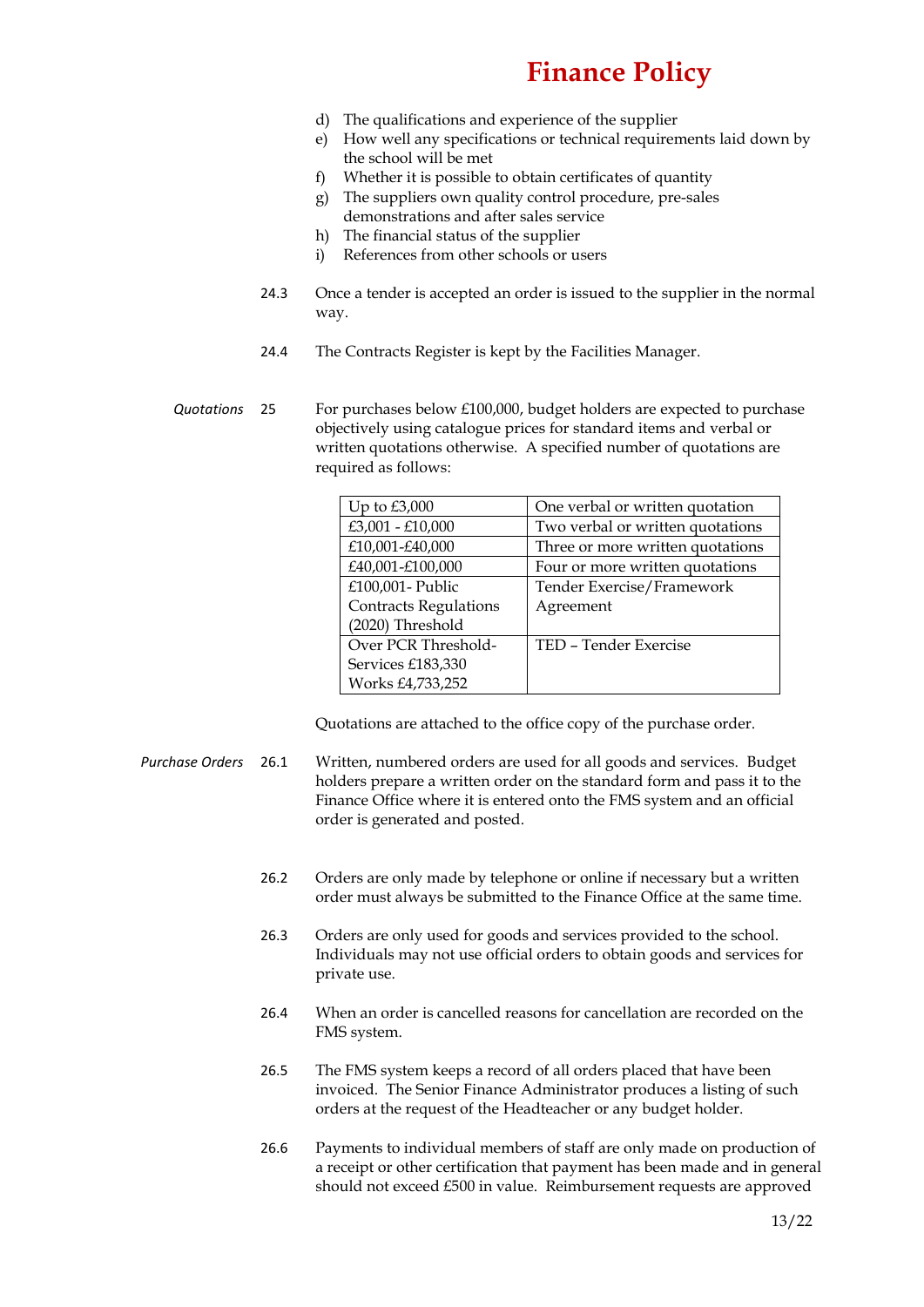- d) The qualifications and experience of the supplier
- e) How well any specifications or technical requirements laid down by the school will be met
- f) Whether it is possible to obtain certificates of quantity
- g) The suppliers own quality control procedure, pre-sales
- demonstrations and after sales service
- h) The financial status of the supplier
- i) References from other schools or users
- 24.3 Once a tender is accepted an order is issued to the supplier in the normal way.
- 24.4 The Contracts Register is kept by the Facilities Manager.
- *Quotations* 25 For purchases below £100,000, budget holders are expected to purchase objectively using catalogue prices for standard items and verbal or written quotations otherwise. A specified number of quotations are required as follows:

| Up to $£3,000$               | One verbal or written quotation  |  |  |
|------------------------------|----------------------------------|--|--|
| £3,001 - £10,000             | Two verbal or written quotations |  |  |
| £10,001-£40,000              | Three or more written quotations |  |  |
| £40,001-£100,000             | Four or more written quotations  |  |  |
| £100,001- Public             | Tender Exercise/Framework        |  |  |
| <b>Contracts Regulations</b> | Agreement                        |  |  |
| (2020) Threshold             |                                  |  |  |
| Over PCR Threshold-          | TED - Tender Exercise            |  |  |
| Services £183,330            |                                  |  |  |
| Works £4,733,252             |                                  |  |  |

Quotations are attached to the office copy of the purchase order.

- *Purchase Orders* 26.1 Written, numbered orders are used for all goods and services. Budget holders prepare a written order on the standard form and pass it to the Finance Office where it is entered onto the FMS system and an official order is generated and posted.
	- 26.2 Orders are only made by telephone or online if necessary but a written order must always be submitted to the Finance Office at the same time.
	- 26.3 Orders are only used for goods and services provided to the school. Individuals may not use official orders to obtain goods and services for private use.
	- 26.4 When an order is cancelled reasons for cancellation are recorded on the FMS system.
	- 26.5 The FMS system keeps a record of all orders placed that have been invoiced. The Senior Finance Administrator produces a listing of such orders at the request of the Headteacher or any budget holder.
	- 26.6 Payments to individual members of staff are only made on production of a receipt or other certification that payment has been made and in general should not exceed £500 in value. Reimbursement requests are approved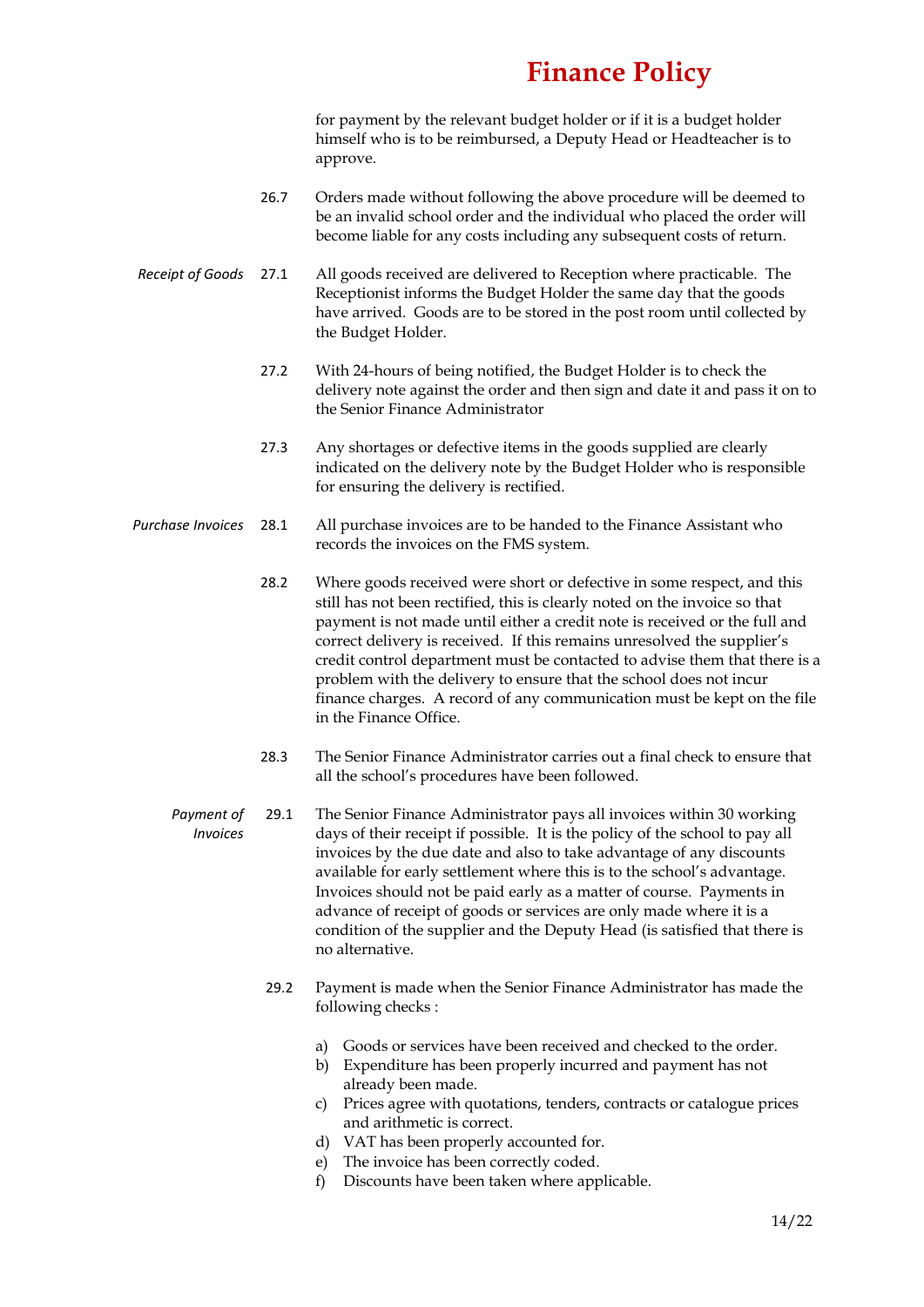for payment by the relevant budget holder or if it is a budget holder himself who is to be reimbursed, a Deputy Head or Headteacher is to approve.

- 26.7 Orders made without following the above procedure will be deemed to be an invalid school order and the individual who placed the order will become liable for any costs including any subsequent costs of return.
- *Receipt of Goods* 27.1 All goods received are delivered to Reception where practicable. The Receptionist informs the Budget Holder the same day that the goods have arrived. Goods are to be stored in the post room until collected by the Budget Holder.
	- 27.2 With 24-hours of being notified, the Budget Holder is to check the delivery note against the order and then sign and date it and pass it on to the Senior Finance Administrator
	- 27.3 Any shortages or defective items in the goods supplied are clearly indicated on the delivery note by the Budget Holder who is responsible for ensuring the delivery is rectified.
- *Purchase Invoices* 28.1 All purchase invoices are to be handed to the Finance Assistant who records the invoices on the FMS system.
	- 28.2 Where goods received were short or defective in some respect, and this still has not been rectified, this is clearly noted on the invoice so that payment is not made until either a credit note is received or the full and correct delivery is received. If this remains unresolved the supplier's credit control department must be contacted to advise them that there is a problem with the delivery to ensure that the school does not incur finance charges. A record of any communication must be kept on the file in the Finance Office.
	- 28.3 The Senior Finance Administrator carries out a final check to ensure that all the school's procedures have been followed.
	- *Payment of Invoices* 29.1 The Senior Finance Administrator pays all invoices within 30 working days of their receipt if possible. It is the policy of the school to pay all invoices by the due date and also to take advantage of any discounts available for early settlement where this is to the school's advantage. Invoices should not be paid early as a matter of course. Payments in advance of receipt of goods or services are only made where it is a condition of the supplier and the Deputy Head (is satisfied that there is no alternative.
		- 29.2 Payment is made when the Senior Finance Administrator has made the following checks :
			- a) Goods or services have been received and checked to the order.
			- b) Expenditure has been properly incurred and payment has not already been made.
			- c) Prices agree with quotations, tenders, contracts or catalogue prices and arithmetic is correct.
			- d) VAT has been properly accounted for.
			- e) The invoice has been correctly coded.
			- f) Discounts have been taken where applicable.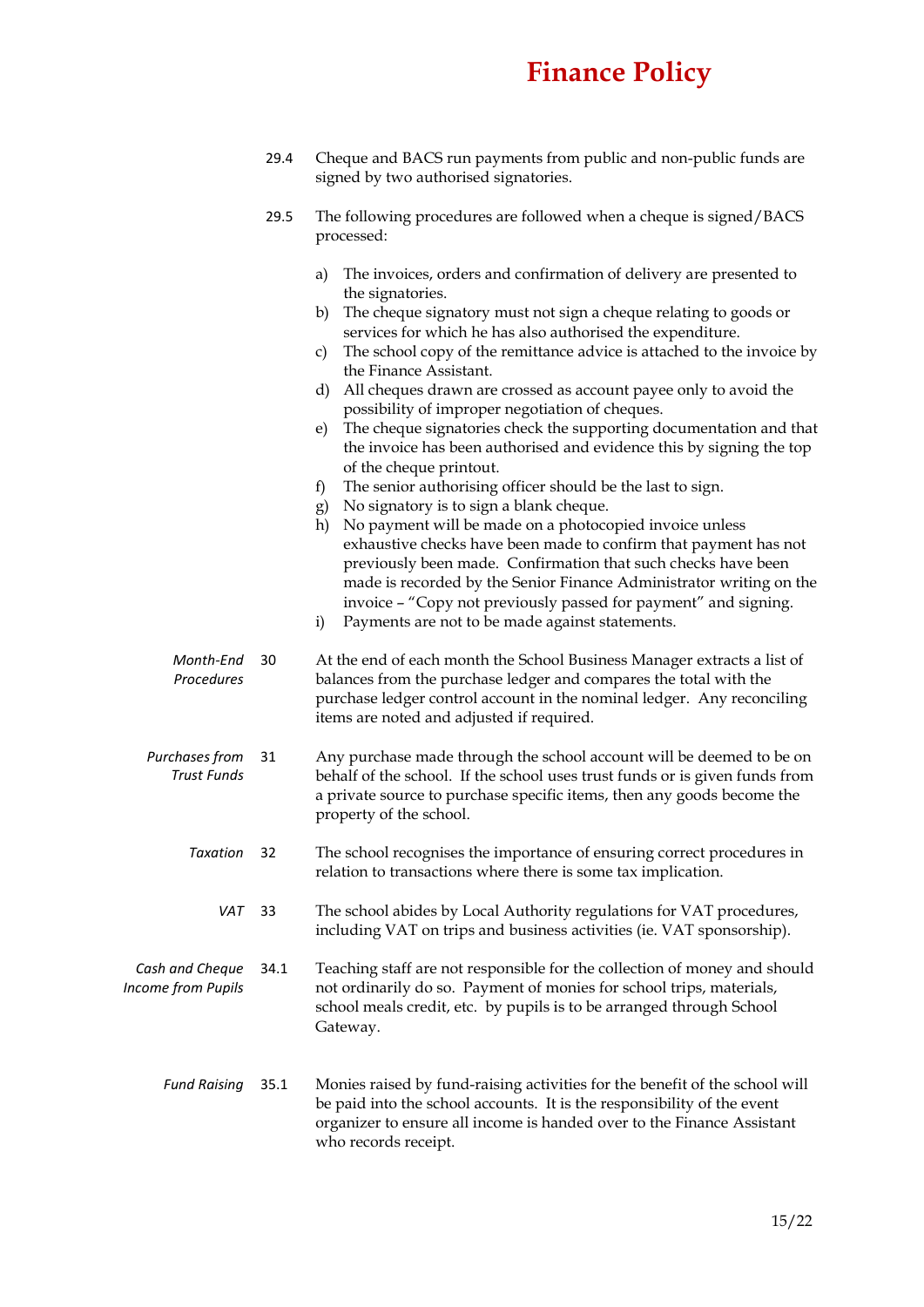- 29.4 Cheque and BACS run payments from public and non-public funds are signed by two authorised signatories.
- 29.5 The following procedures are followed when a cheque is signed/BACS processed:
	- a) The invoices, orders and confirmation of delivery are presented to the signatories.
	- b) The cheque signatory must not sign a cheque relating to goods or services for which he has also authorised the expenditure.
	- c) The school copy of the remittance advice is attached to the invoice by the Finance Assistant.
	- d) All cheques drawn are crossed as account payee only to avoid the possibility of improper negotiation of cheques.
	- e) The cheque signatories check the supporting documentation and that the invoice has been authorised and evidence this by signing the top of the cheque printout.
	- f) The senior authorising officer should be the last to sign.
	- g) No signatory is to sign a blank cheque.
	- h) No payment will be made on a photocopied invoice unless exhaustive checks have been made to confirm that payment has not previously been made. Confirmation that such checks have been made is recorded by the Senior Finance Administrator writing on the invoice – "Copy not previously passed for payment" and signing.
	- i) Payments are not to be made against statements.
- *Month-End Procedures* 30 At the end of each month the School Business Manager extracts a list of balances from the purchase ledger and compares the total with the purchase ledger control account in the nominal ledger. Any reconciling items are noted and adjusted if required.
- *Purchases from Trust Funds* 31 Any purchase made through the school account will be deemed to be on behalf of the school. If the school uses trust funds or is given funds from a private source to purchase specific items, then any goods become the property of the school.
	- *Taxation* 32 The school recognises the importance of ensuring correct procedures in relation to transactions where there is some tax implication.
		- *VAT* 33 The school abides by Local Authority regulations for VAT procedures, including VAT on trips and business activities (ie. VAT sponsorship).
- *Cash and Cheque Income from Pupils* 34.1 Teaching staff are not responsible for the collection of money and should not ordinarily do so. Payment of monies for school trips, materials, school meals credit, etc. by pupils is to be arranged through School Gateway.
	- *Fund Raising* 35.1 Monies raised by fund-raising activities for the benefit of the school will be paid into the school accounts. It is the responsibility of the event organizer to ensure all income is handed over to the Finance Assistant who records receipt.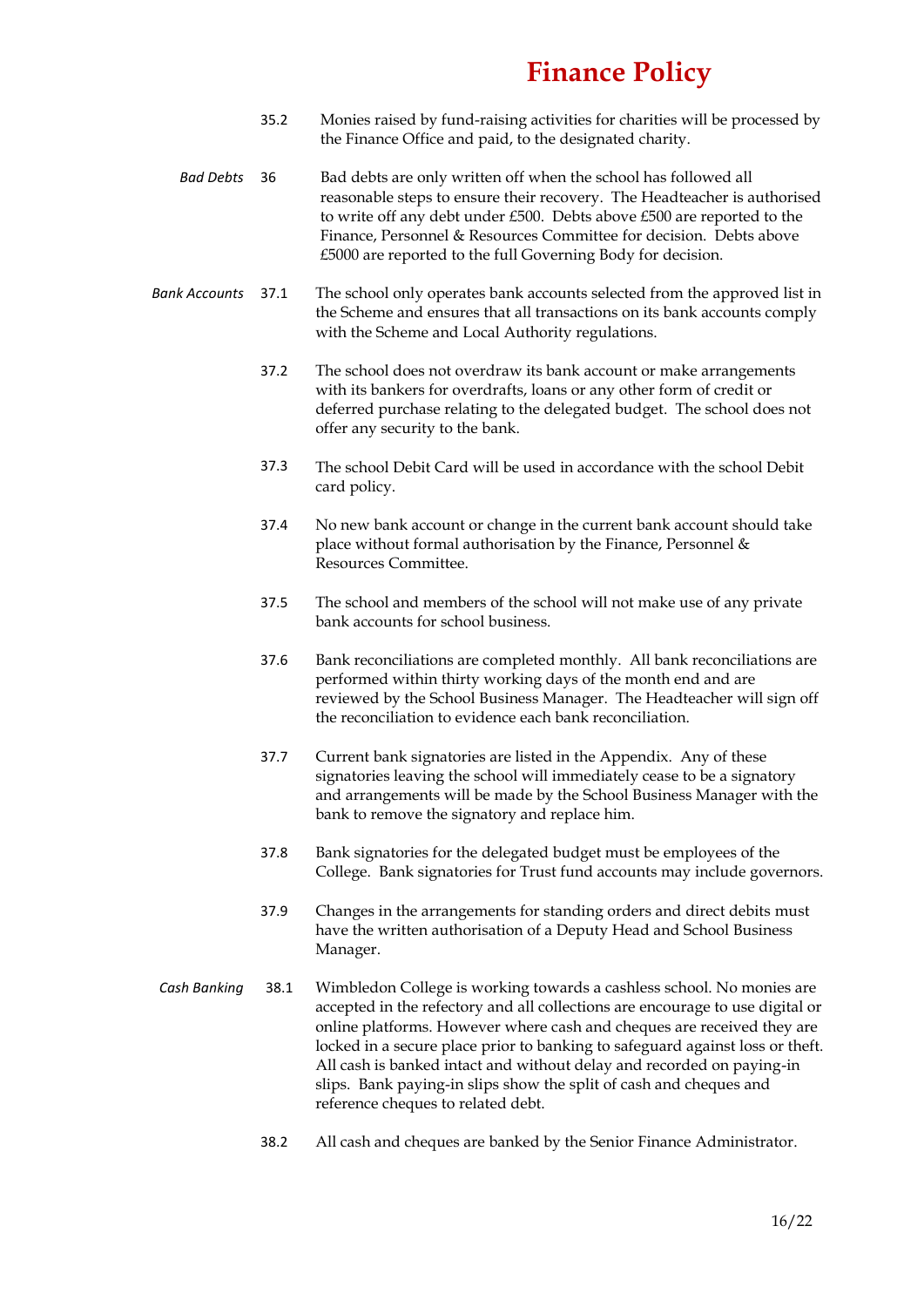- 35.2 Monies raised by fund-raising activities for charities will be processed by the Finance Office and paid, to the designated charity.
- *Bad Debts* 36 Bad debts are only written off when the school has followed all reasonable steps to ensure their recovery. The Headteacher is authorised to write off any debt under £500. Debts above £500 are reported to the Finance, Personnel & Resources Committee for decision. Debts above £5000 are reported to the full Governing Body for decision.
- *Bank Accounts* 37.1 The school only operates bank accounts selected from the approved list in the Scheme and ensures that all transactions on its bank accounts comply with the Scheme and Local Authority regulations.
	- 37.2 The school does not overdraw its bank account or make arrangements with its bankers for overdrafts, loans or any other form of credit or deferred purchase relating to the delegated budget. The school does not offer any security to the bank.
	- 37.3 The school Debit Card will be used in accordance with the school Debit card policy.
	- 37.4 No new bank account or change in the current bank account should take place without formal authorisation by the Finance, Personnel & Resources Committee.
	- 37.5 The school and members of the school will not make use of any private bank accounts for school business.
	- 37.6 Bank reconciliations are completed monthly. All bank reconciliations are performed within thirty working days of the month end and are reviewed by the School Business Manager. The Headteacher will sign off the reconciliation to evidence each bank reconciliation.
	- 37.7 Current bank signatories are listed in the Appendix. Any of these signatories leaving the school will immediately cease to be a signatory and arrangements will be made by the School Business Manager with the bank to remove the signatory and replace him.
	- 37.8 Bank signatories for the delegated budget must be employees of the College. Bank signatories for Trust fund accounts may include governors.
	- 37.9 Changes in the arrangements for standing orders and direct debits must have the written authorisation of a Deputy Head and School Business Manager.
- *Cash Banking* 38.1 Wimbledon College is working towards a cashless school. No monies are accepted in the refectory and all collections are encourage to use digital or online platforms. However where cash and cheques are received they are locked in a secure place prior to banking to safeguard against loss or theft. All cash is banked intact and without delay and recorded on paying-in slips. Bank paying-in slips show the split of cash and cheques and reference cheques to related debt.
	- 38.2 All cash and cheques are banked by the Senior Finance Administrator.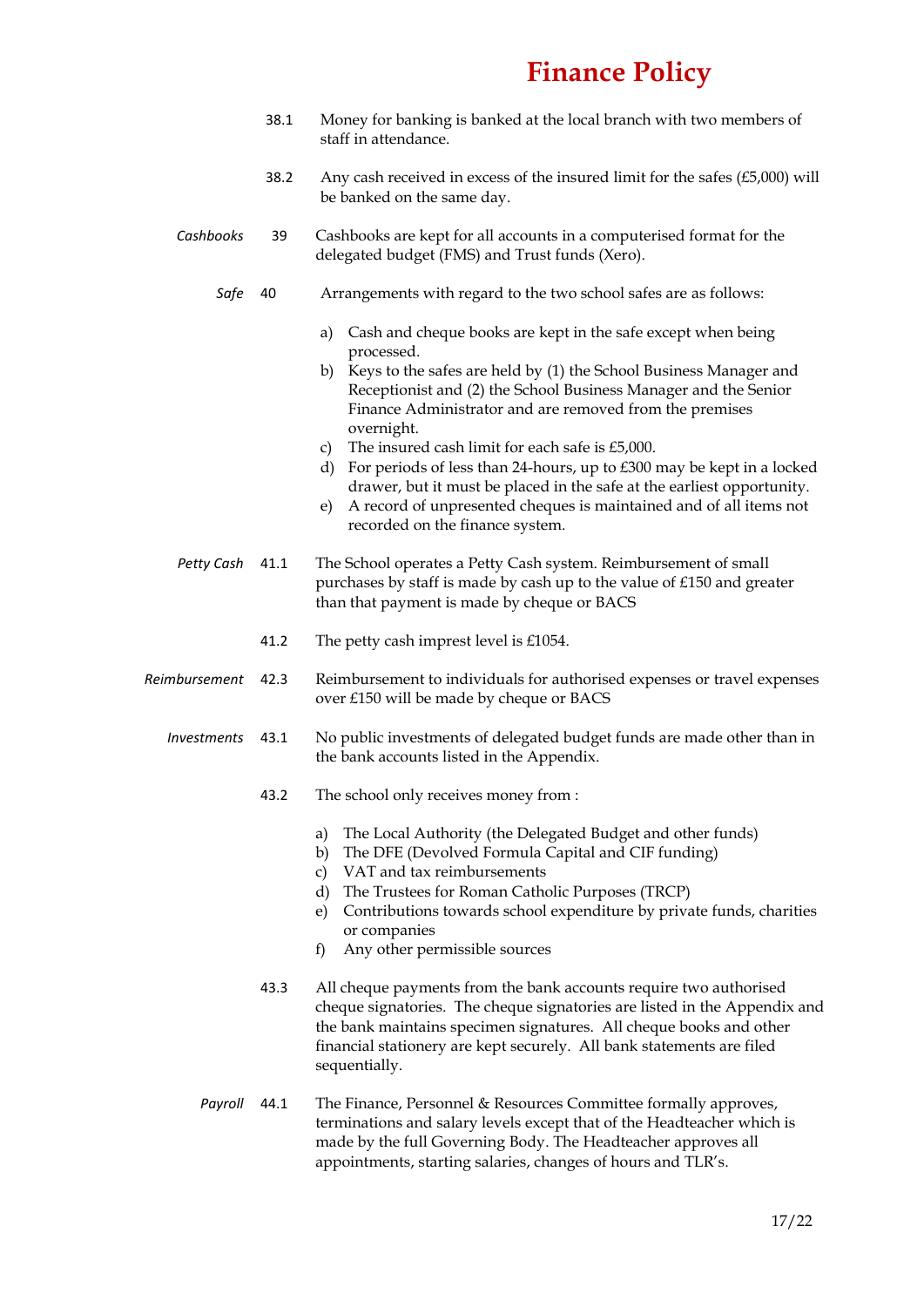- 38.1 Money for banking is banked at the local branch with two members of staff in attendance.
- 38.2 Any cash received in excess of the insured limit for the safes (£5,000) will be banked on the same day.
- *Cashbooks* 39 Cashbooks are kept for all accounts in a computerised format for the delegated budget (FMS) and Trust funds (Xero).
	- *Safe* 40 Arrangements with regard to the two school safes are as follows:
		- a) Cash and cheque books are kept in the safe except when being processed.
		- b) Keys to the safes are held by (1) the School Business Manager and Receptionist and (2) the School Business Manager and the Senior Finance Administrator and are removed from the premises overnight.
		- c) The insured cash limit for each safe is £5,000.
		- d) For periods of less than 24-hours, up to £300 may be kept in a locked drawer, but it must be placed in the safe at the earliest opportunity.
		- e) A record of unpresented cheques is maintained and of all items not recorded on the finance system.
- *Petty Cash* 41.1 The School operates a Petty Cash system. Reimbursement of small purchases by staff is made by cash up to the value of £150 and greater than that payment is made by cheque or BACS
	- 41.2 The petty cash imprest level is £1054.
- *Reimbursement* 42.3 Reimbursement to individuals for authorised expenses or travel expenses over £150 will be made by cheque or BACS
	- *Investments* 43.1 No public investments of delegated budget funds are made other than in the bank accounts listed in the Appendix.
		- 43.2 The school only receives money from :
			- a) The Local Authority (the Delegated Budget and other funds)
			- b) The DFE (Devolved Formula Capital and CIF funding)
			- c) VAT and tax reimbursements
			- d) The Trustees for Roman Catholic Purposes (TRCP)
			- e) Contributions towards school expenditure by private funds, charities or companies
			- f) Any other permissible sources
		- 43.3 All cheque payments from the bank accounts require two authorised cheque signatories. The cheque signatories are listed in the Appendix and the bank maintains specimen signatures. All cheque books and other financial stationery are kept securely. All bank statements are filed sequentially.
		- *Payroll* 44.1 The Finance, Personnel & Resources Committee formally approves, terminations and salary levels except that of the Headteacher which is made by the full Governing Body. The Headteacher approves all appointments, starting salaries, changes of hours and TLR's.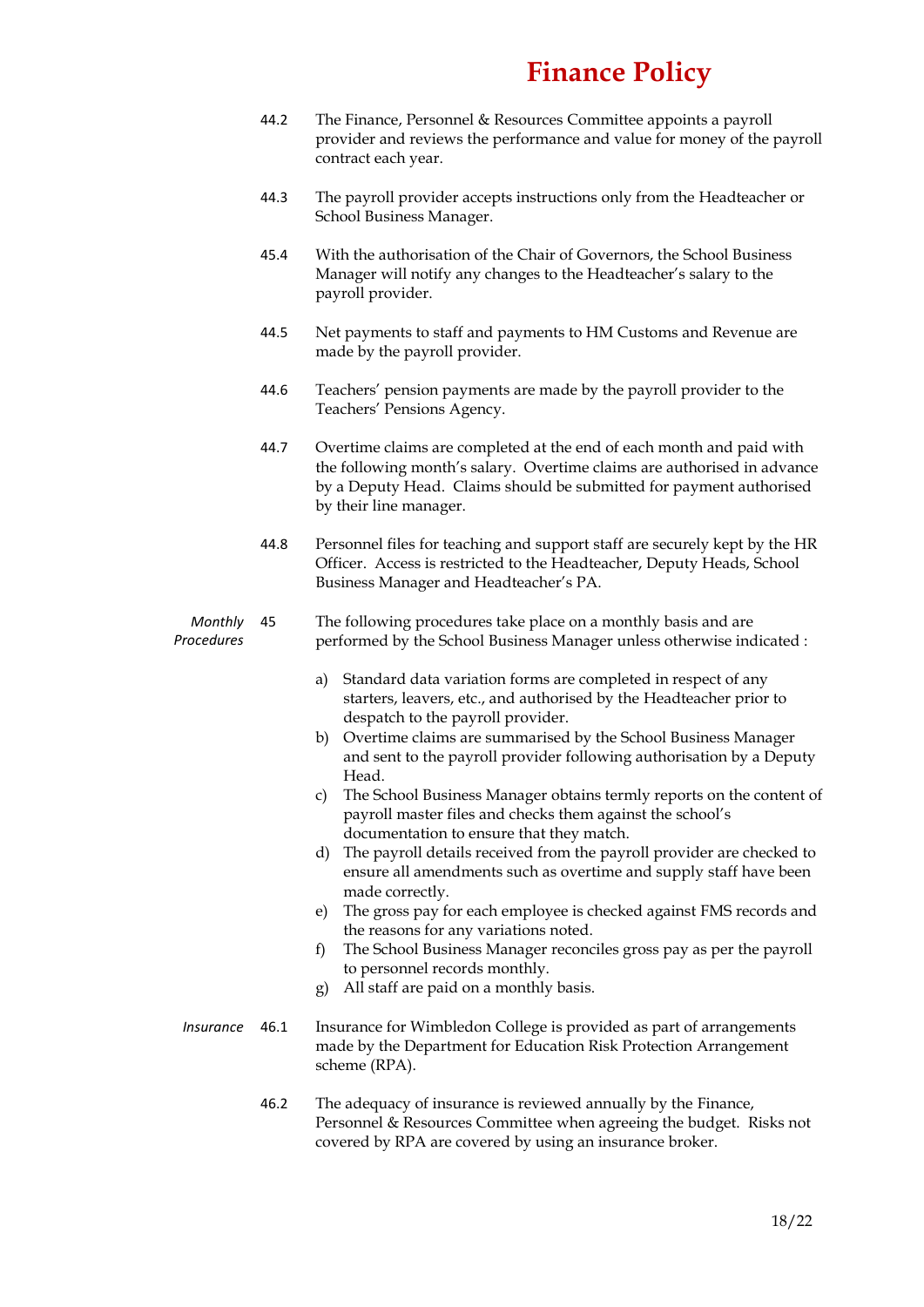- 44.2 The Finance, Personnel & Resources Committee appoints a payroll provider and reviews the performance and value for money of the payroll contract each year.
- 44.3 The payroll provider accepts instructions only from the Headteacher or School Business Manager.
- 45.4 With the authorisation of the Chair of Governors, the School Business Manager will notify any changes to the Headteacher's salary to the payroll provider.
- 44.5 Net payments to staff and payments to HM Customs and Revenue are made by the payroll provider.
- 44.6 Teachers' pension payments are made by the payroll provider to the Teachers' Pensions Agency.
- 44.7 Overtime claims are completed at the end of each month and paid with the following month's salary. Overtime claims are authorised in advance by a Deputy Head. Claims should be submitted for payment authorised by their line manager.
- 44.8 Personnel files for teaching and support staff are securely kept by the HR Officer. Access is restricted to the Headteacher, Deputy Heads, School Business Manager and Headteacher's PA.

#### *Monthly Procedures* 45 The following procedures take place on a monthly basis and are performed by the School Business Manager unless otherwise indicated :

- a) Standard data variation forms are completed in respect of any starters, leavers, etc., and authorised by the Headteacher prior to despatch to the payroll provider.
- b) Overtime claims are summarised by the School Business Manager and sent to the payroll provider following authorisation by a Deputy Head.
- c) The School Business Manager obtains termly reports on the content of payroll master files and checks them against the school's documentation to ensure that they match.
- d) The payroll details received from the payroll provider are checked to ensure all amendments such as overtime and supply staff have been made correctly.
- e) The gross pay for each employee is checked against FMS records and the reasons for any variations noted.
- f) The School Business Manager reconciles gross pay as per the payroll to personnel records monthly.
- g) All staff are paid on a monthly basis.
- *Insurance* 46.1 Insurance for Wimbledon College is provided as part of arrangements made by the Department for Education Risk Protection Arrangement scheme (RPA).
	- 46.2 The adequacy of insurance is reviewed annually by the Finance, Personnel & Resources Committee when agreeing the budget. Risks not covered by RPA are covered by using an insurance broker.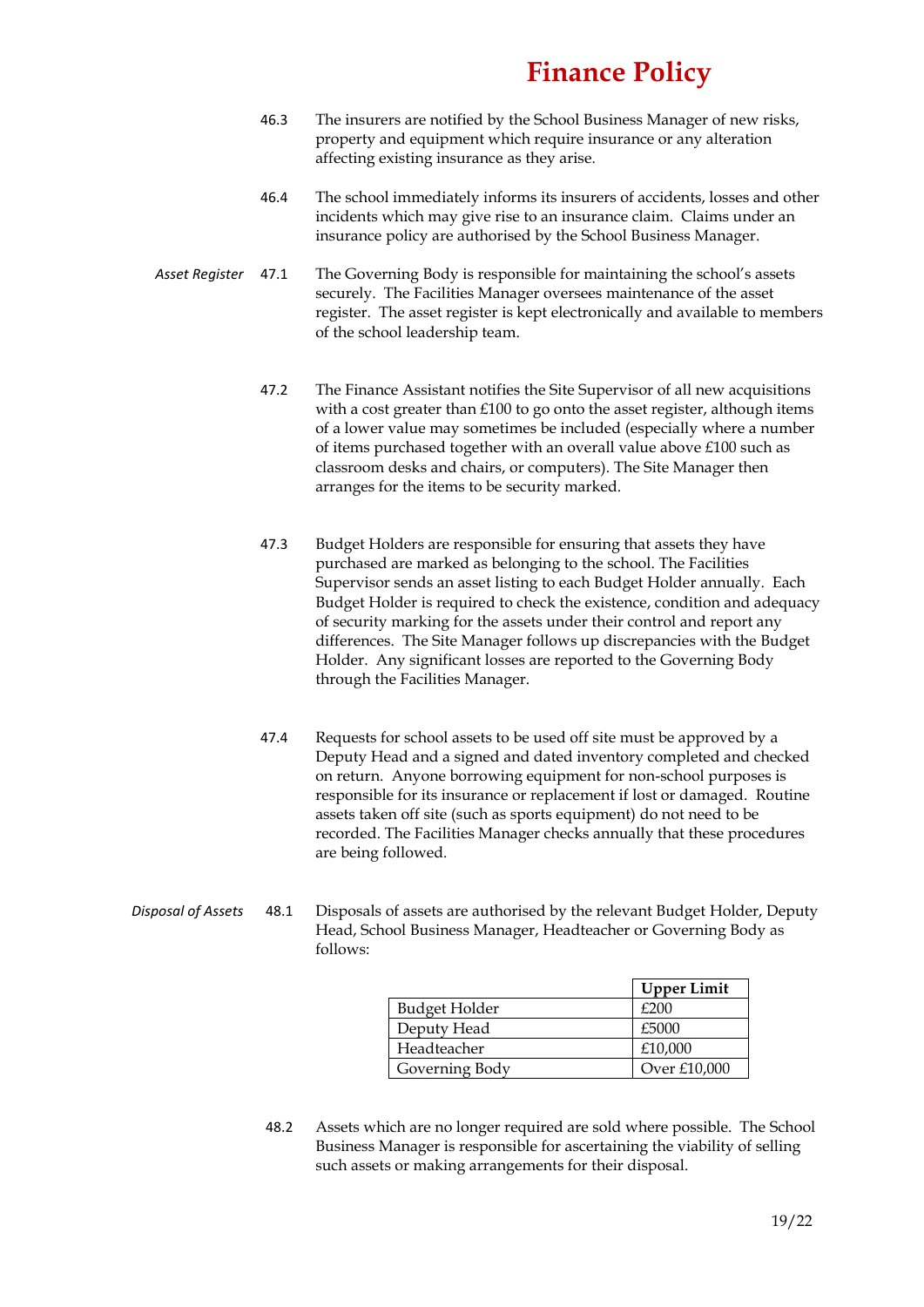- 46.3 The insurers are notified by the School Business Manager of new risks, property and equipment which require insurance or any alteration affecting existing insurance as they arise.
- 46.4 The school immediately informs its insurers of accidents, losses and other incidents which may give rise to an insurance claim. Claims under an insurance policy are authorised by the School Business Manager.
- *Asset Register* 47.1 The Governing Body is responsible for maintaining the school's assets securely. The Facilities Manager oversees maintenance of the asset register. The asset register is kept electronically and available to members of the school leadership team.
	- 47.2 The Finance Assistant notifies the Site Supervisor of all new acquisitions with a cost greater than £100 to go onto the asset register, although items of a lower value may sometimes be included (especially where a number of items purchased together with an overall value above £100 such as classroom desks and chairs, or computers). The Site Manager then arranges for the items to be security marked.
	- 47.3 Budget Holders are responsible for ensuring that assets they have purchased are marked as belonging to the school. The Facilities Supervisor sends an asset listing to each Budget Holder annually. Each Budget Holder is required to check the existence, condition and adequacy of security marking for the assets under their control and report any differences. The Site Manager follows up discrepancies with the Budget Holder. Any significant losses are reported to the Governing Body through the Facilities Manager.
	- 47.4 Requests for school assets to be used off site must be approved by a Deputy Head and a signed and dated inventory completed and checked on return. Anyone borrowing equipment for non-school purposes is responsible for its insurance or replacement if lost or damaged. Routine assets taken off site (such as sports equipment) do not need to be recorded. The Facilities Manager checks annually that these procedures are being followed.
- *Disposal of Assets* 48.1 Disposals of assets are authorised by the relevant Budget Holder, Deputy Head, School Business Manager, Headteacher or Governing Body as follows:

|                | <b>Upper Limit</b> |
|----------------|--------------------|
| Budget Holder  | £200               |
| Deputy Head    | £5000              |
| Headteacher    | £10,000            |
| Governing Body | Over £10,000       |

48.2 Assets which are no longer required are sold where possible. The School Business Manager is responsible for ascertaining the viability of selling such assets or making arrangements for their disposal.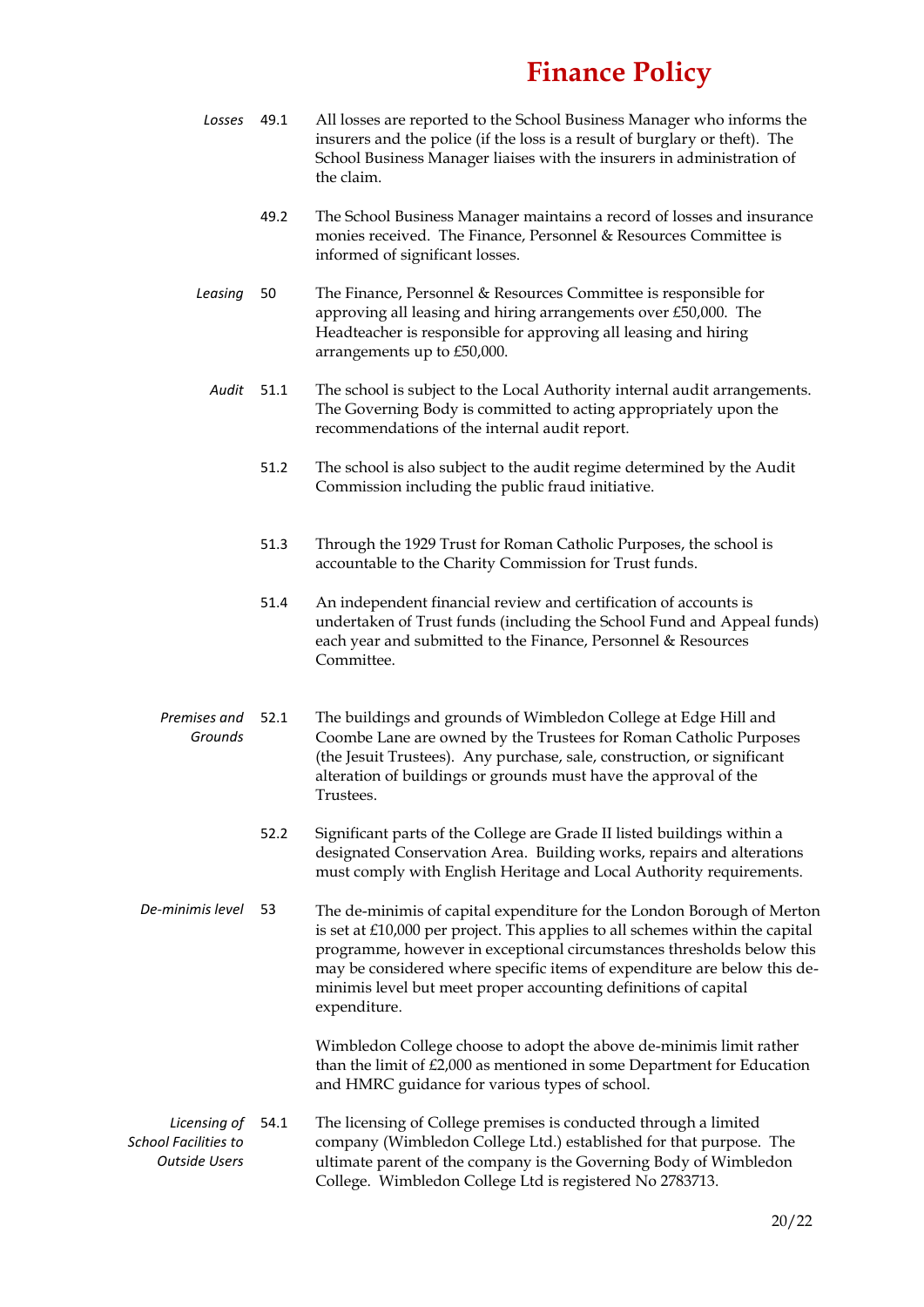- *Losses* 49.1 All losses are reported to the School Business Manager who informs the insurers and the police (if the loss is a result of burglary or theft). The School Business Manager liaises with the insurers in administration of the claim.
	- 49.2 The School Business Manager maintains a record of losses and insurance monies received. The Finance, Personnel & Resources Committee is informed of significant losses.
- *Leasing* 50 The Finance, Personnel & Resources Committee is responsible for approving all leasing and hiring arrangements over £50,000. The Headteacher is responsible for approving all leasing and hiring arrangements up to £50,000.
- *Audit* 51.1 The school is subject to the Local Authority internal audit arrangements. The Governing Body is committed to acting appropriately upon the recommendations of the internal audit report.
	- 51.2 The school is also subject to the audit regime determined by the Audit Commission including the public fraud initiative.
	- 51.3 Through the 1929 Trust for Roman Catholic Purposes, the school is accountable to the Charity Commission for Trust funds.
	- 51.4 An independent financial review and certification of accounts is undertaken of Trust funds (including the School Fund and Appeal funds) each year and submitted to the Finance, Personnel & Resources Committee.
- *Premises and Grounds* The buildings and grounds of Wimbledon College at Edge Hill and Coombe Lane are owned by the Trustees for Roman Catholic Purposes (the Jesuit Trustees). Any purchase, sale, construction, or significant alteration of buildings or grounds must have the approval of the Trustees.
	- 52.2 Significant parts of the College are Grade II listed buildings within a designated Conservation Area. Building works, repairs and alterations must comply with English Heritage and Local Authority requirements.
- *De-minimis level* 53 The de-minimis of capital expenditure for the London Borough of Merton is set at £10,000 per project. This applies to all schemes within the capital programme, however in exceptional circumstances thresholds below this may be considered where specific items of expenditure are below this deminimis level but meet proper accounting definitions of capital expenditure.

Wimbledon College choose to adopt the above de-minimis limit rather than the limit of £2,000 as mentioned in some Department for Education and HMRC guidance for various types of school.

*Licensing of School Facilities to Outside Users* The licensing of College premises is conducted through a limited company (Wimbledon College Ltd.) established for that purpose. The ultimate parent of the company is the Governing Body of Wimbledon College. Wimbledon College Ltd is registered No 2783713.